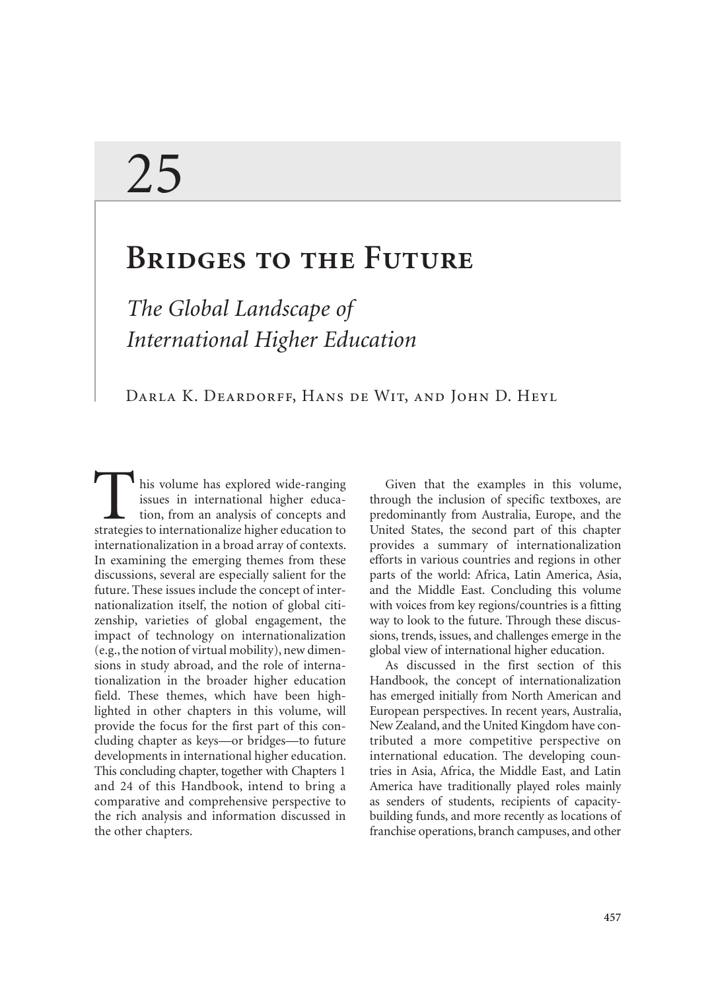# 25

# **Bridges to the Future**

*The Global Landscape of International Higher Education*

DARLA K. DEARDORFF, HANS DE WIT, AND JOHN D. HEYL

his volume has explored wide-ranging<br>
issues in international higher educa-<br>
tion, from an analysis of concepts and<br>
strategies to internationalize higher education to issues in international higher education, from an analysis of concepts and internationalization in a broad array of contexts. In examining the emerging themes from these discussions, several are especially salient for the future. These issues include the concept of internationalization itself, the notion of global citizenship, varieties of global engagement, the impact of technology on internationalization (e.g., the notion of virtual mobility), new dimensions in study abroad, and the role of internationalization in the broader higher education field. These themes, which have been highlighted in other chapters in this volume, will provide the focus for the first part of this concluding chapter as keys—or bridges—to future developments in international higher education. This concluding chapter, together with Chapters 1 and 24 of this Handbook, intend to bring a comparative and comprehensive perspective to the rich analysis and information discussed in the other chapters.

Given that the examples in this volume, through the inclusion of specific textboxes, are predominantly from Australia, Europe, and the United States, the second part of this chapter provides a summary of internationalization efforts in various countries and regions in other parts of the world: Africa, Latin America, Asia, and the Middle East. Concluding this volume with voices from key regions/countries is a fitting way to look to the future. Through these discussions, trends, issues, and challenges emerge in the global view of international higher education.

As discussed in the first section of this Handbook, the concept of internationalization has emerged initially from North American and European perspectives. In recent years, Australia, New Zealand, and the United Kingdom have contributed a more competitive perspective on international education. The developing countries in Asia, Africa, the Middle East, and Latin America have traditionally played roles mainly as senders of students, recipients of capacitybuilding funds, and more recently as locations of franchise operations, branch campuses, and other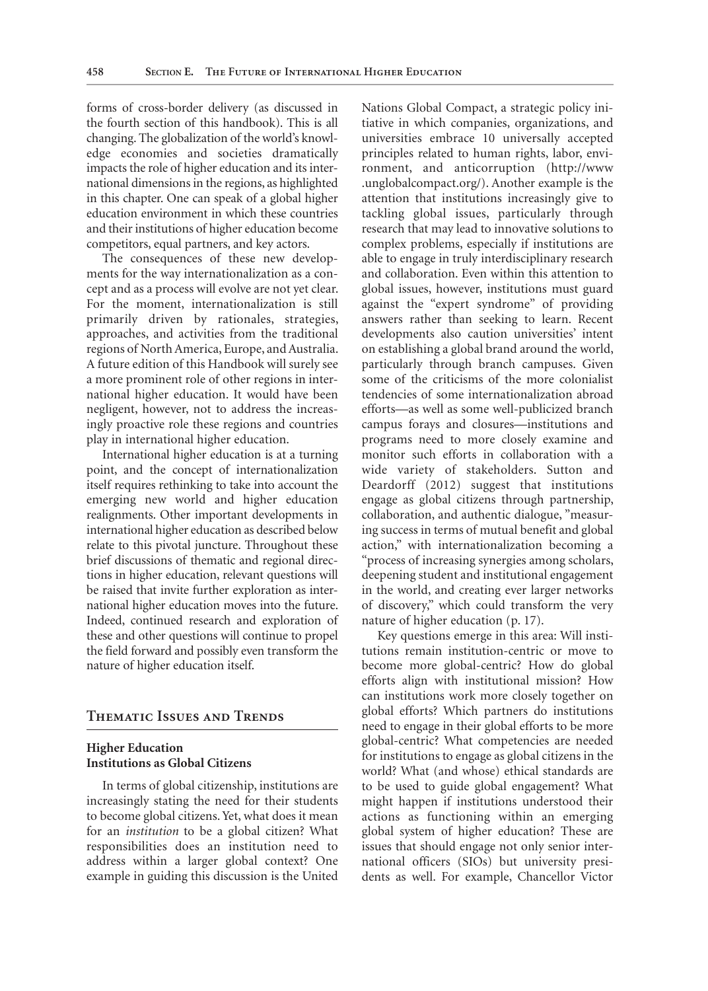forms of cross-border delivery (as discussed in the fourth section of this handbook). This is all changing. The globalization of the world's knowledge economies and societies dramatically impacts the role of higher education and its international dimensions in the regions, as highlighted in this chapter. One can speak of a global higher education environment in which these countries and their institutions of higher education become competitors, equal partners, and key actors.

The consequences of these new developments for the way internationalization as a concept and as a process will evolve are not yet clear. For the moment, internationalization is still primarily driven by rationales, strategies, approaches, and activities from the traditional regions of North America, Europe, and Australia. A future edition of this Handbook will surely see a more prominent role of other regions in international higher education. It would have been negligent, however, not to address the increasingly proactive role these regions and countries play in international higher education.

International higher education is at a turning point, and the concept of internationalization itself requires rethinking to take into account the emerging new world and higher education realignments. Other important developments in international higher education as described below relate to this pivotal juncture. Throughout these brief discussions of thematic and regional directions in higher education, relevant questions will be raised that invite further exploration as international higher education moves into the future. Indeed, continued research and exploration of these and other questions will continue to propel the field forward and possibly even transform the nature of higher education itself.

#### **Thematic Issues and Trends**

#### **Higher Education Institutions as Global Citizens**

In terms of global citizenship, institutions are increasingly stating the need for their students to become global citizens. Yet, what does it mean for an *institution* to be a global citizen? What responsibilities does an institution need to address within a larger global context? One example in guiding this discussion is the United

Nations Global Compact, a strategic policy initiative in which companies, organizations, and universities embrace 10 universally accepted principles related to human rights, labor, environment, and anticorruption (http://www .unglobalcompact.org/). Another example is the attention that institutions increasingly give to tackling global issues, particularly through research that may lead to innovative solutions to complex problems, especially if institutions are able to engage in truly interdisciplinary research and collaboration. Even within this attention to global issues, however, institutions must guard against the "expert syndrome" of providing answers rather than seeking to learn. Recent developments also caution universities' intent on establishing a global brand around the world, particularly through branch campuses. Given some of the criticisms of the more colonialist tendencies of some internationalization abroad efforts—as well as some well-publicized branch campus forays and closures—institutions and programs need to more closely examine and monitor such efforts in collaboration with a wide variety of stakeholders. Sutton and Deardorff (2012) suggest that institutions engage as global citizens through partnership, collaboration, and authentic dialogue, "measuring success in terms of mutual benefit and global action," with internationalization becoming a "process of increasing synergies among scholars, deepening student and institutional engagement in the world, and creating ever larger networks of discovery," which could transform the very nature of higher education (p. 17).

Key questions emerge in this area: Will institutions remain institution-centric or move to become more global-centric? How do global efforts align with institutional mission? How can institutions work more closely together on global efforts? Which partners do institutions need to engage in their global efforts to be more global-centric? What competencies are needed for institutions to engage as global citizens in the world? What (and whose) ethical standards are to be used to guide global engagement? What might happen if institutions understood their actions as functioning within an emerging global system of higher education? These are issues that should engage not only senior international officers (SIOs) but university presidents as well. For example, Chancellor Victor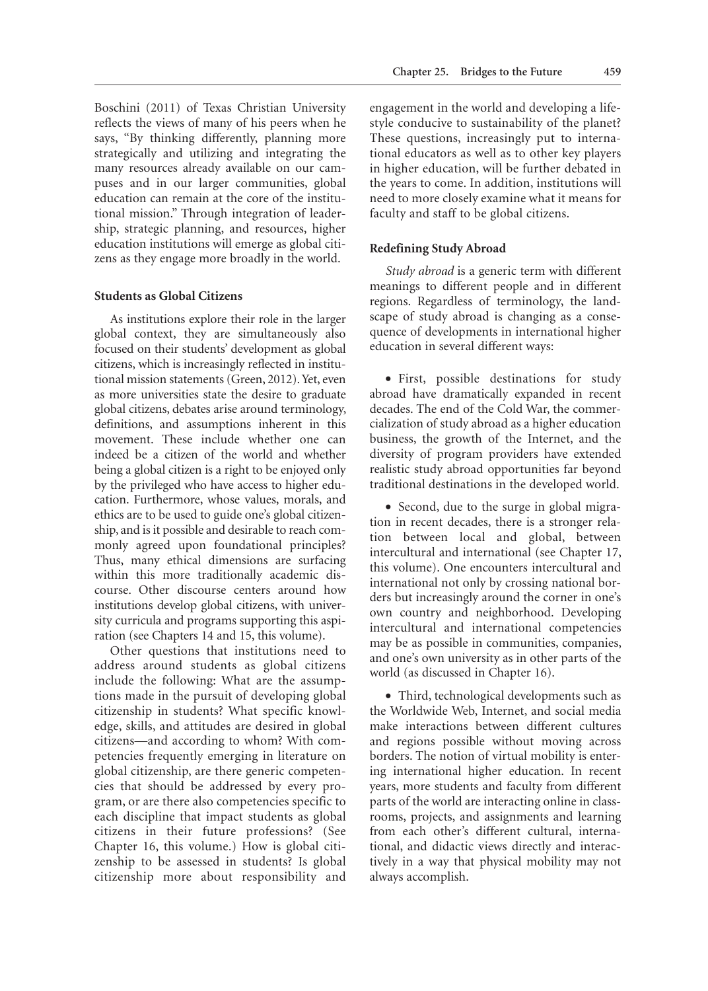Boschini (2011) of Texas Christian University reflects the views of many of his peers when he says, "By thinking differently, planning more strategically and utilizing and integrating the many resources already available on our campuses and in our larger communities, global education can remain at the core of the institutional mission." Through integration of leadership, strategic planning, and resources, higher education institutions will emerge as global citizens as they engage more broadly in the world.

#### **Students as Global Citizens**

As institutions explore their role in the larger global context, they are simultaneously also focused on their students' development as global citizens, which is increasingly reflected in institutional mission statements (Green, 2012). Yet, even as more universities state the desire to graduate global citizens, debates arise around terminology, definitions, and assumptions inherent in this movement. These include whether one can indeed be a citizen of the world and whether being a global citizen is a right to be enjoyed only by the privileged who have access to higher education. Furthermore, whose values, morals, and ethics are to be used to guide one's global citizenship, and is it possible and desirable to reach commonly agreed upon foundational principles? Thus, many ethical dimensions are surfacing within this more traditionally academic discourse. Other discourse centers around how institutions develop global citizens, with university curricula and programs supporting this aspiration (see Chapters 14 and 15, this volume).

Other questions that institutions need to address around students as global citizens include the following: What are the assumptions made in the pursuit of developing global citizenship in students? What specific knowledge, skills, and attitudes are desired in global citizens—and according to whom? With competencies frequently emerging in literature on global citizenship, are there generic competencies that should be addressed by every program, or are there also competencies specific to each discipline that impact students as global citizens in their future professions? (See Chapter 16, this volume.) How is global citizenship to be assessed in students? Is global citizenship more about responsibility and

engagement in the world and developing a lifestyle conducive to sustainability of the planet? These questions, increasingly put to international educators as well as to other key players in higher education, will be further debated in the years to come. In addition, institutions will need to more closely examine what it means for faculty and staff to be global citizens.

#### **Redefining Study Abroad**

*Study abroad* is a generic term with different meanings to different people and in different regions. Regardless of terminology, the landscape of study abroad is changing as a consequence of developments in international higher education in several different ways:

• First, possible destinations for study abroad have dramatically expanded in recent decades. The end of the Cold War, the commercialization of study abroad as a higher education business, the growth of the Internet, and the diversity of program providers have extended realistic study abroad opportunities far beyond traditional destinations in the developed world.

• Second, due to the surge in global migration in recent decades, there is a stronger relation between local and global, between intercultural and international (see Chapter 17, this volume). One encounters intercultural and international not only by crossing national borders but increasingly around the corner in one's own country and neighborhood. Developing intercultural and international competencies may be as possible in communities, companies, and one's own university as in other parts of the world (as discussed in Chapter 16).

• Third, technological developments such as the Worldwide Web, Internet, and social media make interactions between different cultures and regions possible without moving across borders. The notion of virtual mobility is entering international higher education. In recent years, more students and faculty from different parts of the world are interacting online in classrooms, projects, and assignments and learning from each other's different cultural, international, and didactic views directly and interactively in a way that physical mobility may not always accomplish.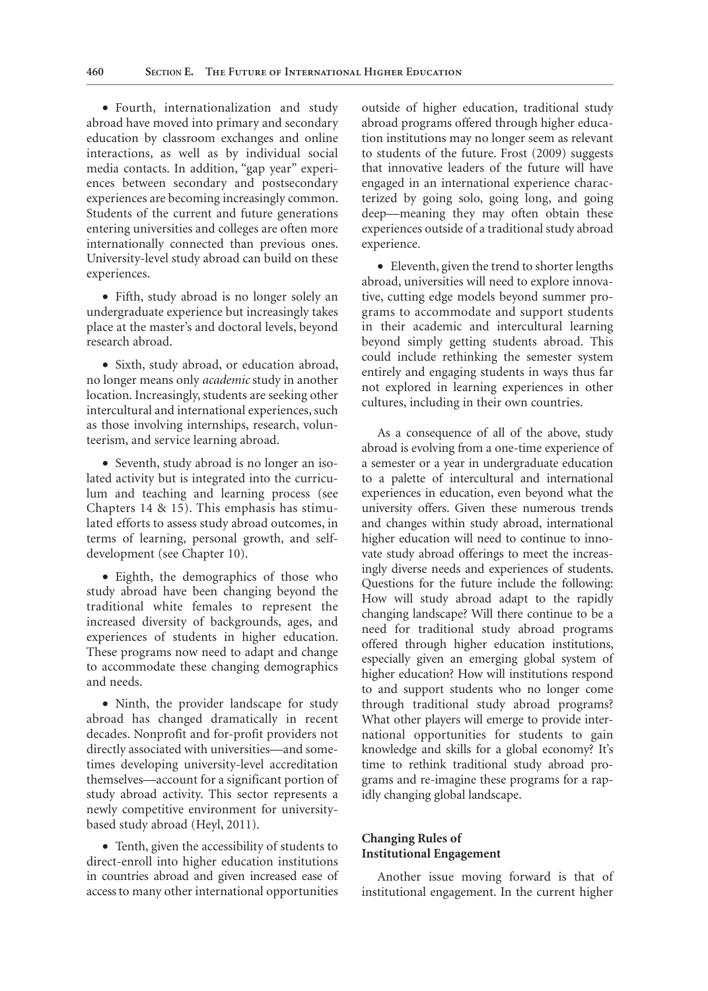• Fourth, internationalization and study abroad have moved into primary and secondary education by classroom exchanges and online interactions, as well as by individual social media contacts. In addition, "gap year" experiences between secondary and postsecondary experiences are becoming increasingly common. Students of the current and future generations entering universities and colleges are often more internationally connected than previous ones. University-level study abroad can build on these experiences.

• Fifth, study abroad is no longer solely an undergraduate experience but increasingly takes place at the master's and doctoral levels, beyond research abroad.

• Sixth, study abroad, or education abroad, no longer means only *academic* study in another location. Increasingly, students are seeking other intercultural and international experiences, such as those involving internships, research, volunteerism, and service learning abroad.

• Seventh, study abroad is no longer an isolated activity but is integrated into the curriculum and teaching and learning process (see Chapters 14 & 15). This emphasis has stimulated efforts to assess study abroad outcomes, in terms of learning, personal growth, and selfdevelopment (see Chapter 10).

• Eighth, the demographics of those who study abroad have been changing beyond the traditional white females to represent the increased diversity of backgrounds, ages, and experiences of students in higher education. These programs now need to adapt and change to accommodate these changing demographics and needs.

• Ninth, the provider landscape for study abroad has changed dramatically in recent decades. Nonprofit and for-profit providers not directly associated with universities—and sometimes developing university-level accreditation themselves—account for a significant portion of study abroad activity. This sector represents a newly competitive environment for universitybased study abroad (Heyl, 2011).

• Tenth, given the accessibility of students to direct-enroll into higher education institutions in countries abroad and given increased ease of access to many other international opportunities

outside of higher education, traditional study abroad programs offered through higher education institutions may no longer seem as relevant to students of the future. Frost (2009) suggests that innovative leaders of the future will have engaged in an international experience characterized by going solo, going long, and going deep—meaning they may often obtain these experiences outside of a traditional study abroad experience.

• Eleventh, given the trend to shorter lengths abroad, universities will need to explore innovative, cutting edge models beyond summer programs to accommodate and support students in their academic and intercultural learning beyond simply getting students abroad. This could include rethinking the semester system entirely and engaging students in ways thus far not explored in learning experiences in other cultures, including in their own countries.

As a consequence of all of the above, study abroad is evolving from a one-time experience of a semester or a year in undergraduate education to a palette of intercultural and international experiences in education, even beyond what the university offers. Given these numerous trends and changes within study abroad, international higher education will need to continue to innovate study abroad offerings to meet the increasingly diverse needs and experiences of students. Questions for the future include the following: How will study abroad adapt to the rapidly changing landscape? Will there continue to be a need for traditional study abroad programs offered through higher education institutions, especially given an emerging global system of higher education? How will institutions respond to and support students who no longer come through traditional study abroad programs? What other players will emerge to provide international opportunities for students to gain knowledge and skills for a global economy? It's time to rethink traditional study abroad programs and re-imagine these programs for a rapidly changing global landscape.

#### **Changing Rules of Institutional Engagement**

Another issue moving forward is that of institutional engagement. In the current higher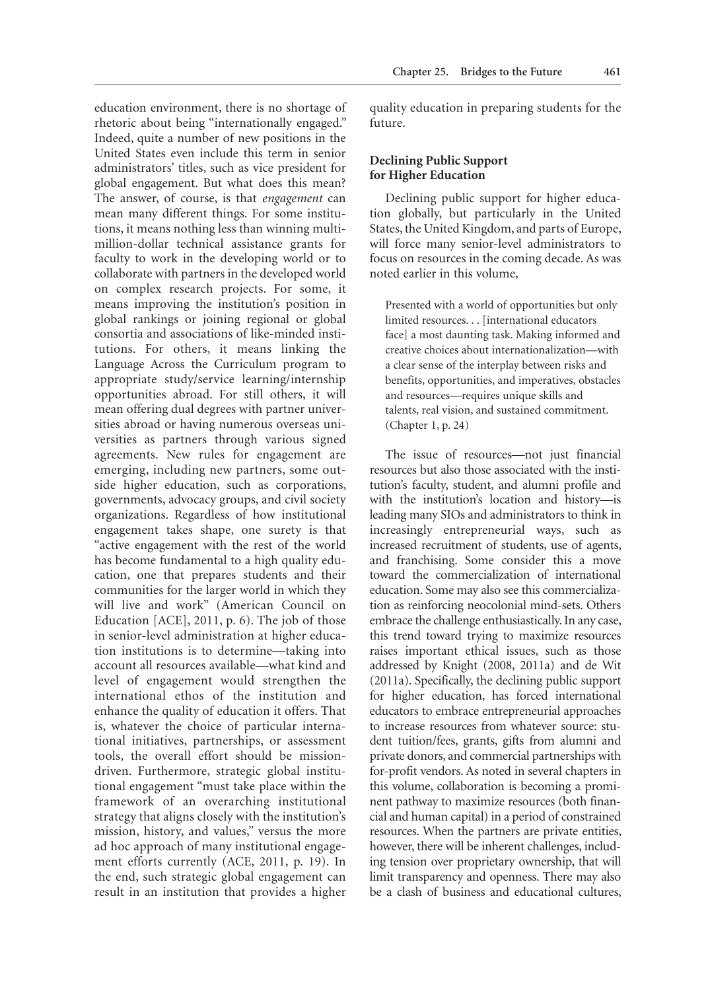education environment, there is no shortage of rhetoric about being "internationally engaged." Indeed, quite a number of new positions in the United States even include this term in senior administrators' titles, such as vice president for global engagement. But what does this mean? The answer, of course, is that *engagement* can mean many different things. For some institutions, it means nothing less than winning multimillion-dollar technical assistance grants for faculty to work in the developing world or to collaborate with partners in the developed world on complex research projects. For some, it means improving the institution's position in global rankings or joining regional or global consortia and associations of like-minded institutions. For others, it means linking the Language Across the Curriculum program to appropriate study/service learning/internship opportunities abroad. For still others, it will mean offering dual degrees with partner universities abroad or having numerous overseas universities as partners through various signed agreements. New rules for engagement are emerging, including new partners, some outside higher education, such as corporations, governments, advocacy groups, and civil society organizations. Regardless of how institutional engagement takes shape, one surety is that "active engagement with the rest of the world has become fundamental to a high quality education, one that prepares students and their communities for the larger world in which they will live and work" (American Council on Education [ACE], 2011, p. 6). The job of those in senior-level administration at higher education institutions is to determine—taking into account all resources available—what kind and level of engagement would strengthen the international ethos of the institution and enhance the quality of education it offers. That is, whatever the choice of particular international initiatives, partnerships, or assessment tools, the overall effort should be missiondriven. Furthermore, strategic global institutional engagement "must take place within the framework of an overarching institutional strategy that aligns closely with the institution's mission, history, and values," versus the more ad hoc approach of many institutional engagement efforts currently (ACE, 2011, p. 19). In the end, such strategic global engagement can result in an institution that provides a higher

quality education in preparing students for the future.

#### **Declining Public Support for Higher Education**

Declining public support for higher education globally, but particularly in the United States, the United Kingdom, and parts of Europe, will force many senior-level administrators to focus on resources in the coming decade. As was noted earlier in this volume,

Presented with a world of opportunities but only limited resources. . . [international educators face] a most daunting task. Making informed and creative choices about internationalization—with a clear sense of the interplay between risks and benefits, opportunities, and imperatives, obstacles and resources—requires unique skills and talents, real vision, and sustained commitment. (Chapter 1, p. 24)

The issue of resources—not just financial resources but also those associated with the institution's faculty, student, and alumni profile and with the institution's location and history—is leading many SIOs and administrators to think in increasingly entrepreneurial ways, such as increased recruitment of students, use of agents, and franchising. Some consider this a move toward the commercialization of international education. Some may also see this commercialization as reinforcing neocolonial mind-sets. Others embrace the challenge enthusiastically. In any case, this trend toward trying to maximize resources raises important ethical issues, such as those addressed by Knight (2008, 2011a) and de Wit (2011a). Specifically, the declining public support for higher education, has forced international educators to embrace entrepreneurial approaches to increase resources from whatever source: student tuition/fees, grants, gifts from alumni and private donors, and commercial partnerships with for-profit vendors. As noted in several chapters in this volume, collaboration is becoming a prominent pathway to maximize resources (both financial and human capital) in a period of constrained resources. When the partners are private entities, however, there will be inherent challenges, including tension over proprietary ownership, that will limit transparency and openness. There may also be a clash of business and educational cultures,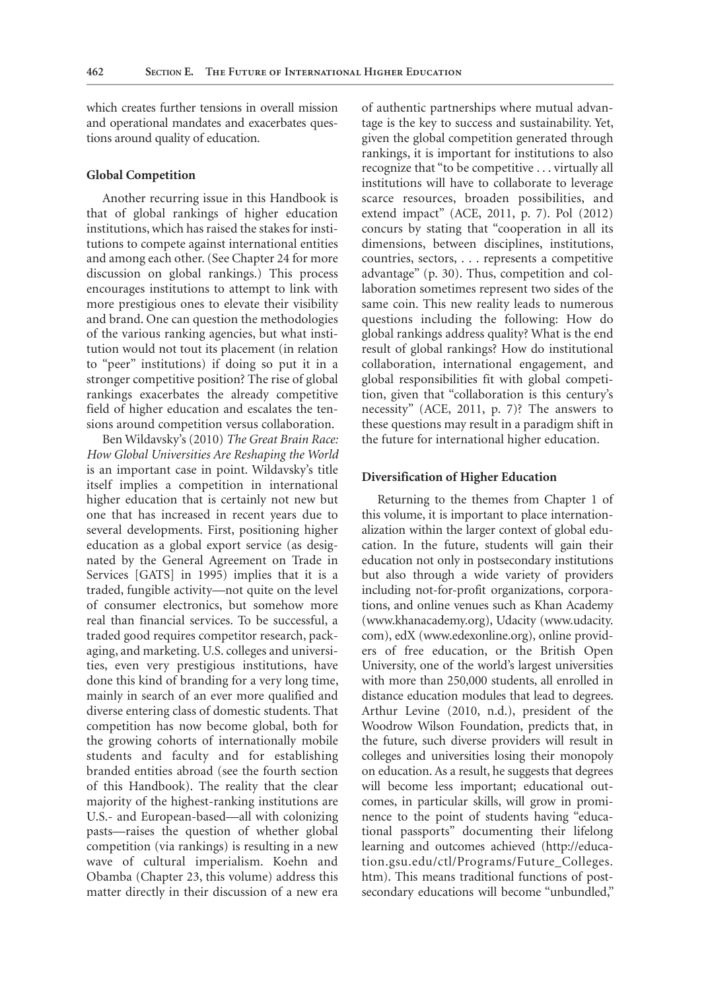which creates further tensions in overall mission and operational mandates and exacerbates questions around quality of education.

#### **Global Competition**

Another recurring issue in this Handbook is that of global rankings of higher education institutions, which has raised the stakes for institutions to compete against international entities and among each other. (See Chapter 24 for more discussion on global rankings.) This process encourages institutions to attempt to link with more prestigious ones to elevate their visibility and brand. One can question the methodologies of the various ranking agencies, but what institution would not tout its placement (in relation to "peer" institutions) if doing so put it in a stronger competitive position? The rise of global rankings exacerbates the already competitive field of higher education and escalates the tensions around competition versus collaboration.

Ben Wildavsky's (2010) *The Great Brain Race: How Global Universities Are Reshaping the World* is an important case in point. Wildavsky's title itself implies a competition in international higher education that is certainly not new but one that has increased in recent years due to several developments. First, positioning higher education as a global export service (as designated by the General Agreement on Trade in Services [GATS] in 1995) implies that it is a traded, fungible activity—not quite on the level of consumer electronics, but somehow more real than financial services. To be successful, a traded good requires competitor research, packaging, and marketing. U.S. colleges and universities, even very prestigious institutions, have done this kind of branding for a very long time, mainly in search of an ever more qualified and diverse entering class of domestic students. That competition has now become global, both for the growing cohorts of internationally mobile students and faculty and for establishing branded entities abroad (see the fourth section of this Handbook). The reality that the clear majority of the highest-ranking institutions are U.S.- and European-based—all with colonizing pasts—raises the question of whether global competition (via rankings) is resulting in a new wave of cultural imperialism. Koehn and Obamba (Chapter 23, this volume) address this matter directly in their discussion of a new era

of authentic partnerships where mutual advantage is the key to success and sustainability. Yet, given the global competition generated through rankings, it is important for institutions to also recognize that "to be competitive . . . virtually all institutions will have to collaborate to leverage scarce resources, broaden possibilities, and extend impact" (ACE, 2011, p. 7). Pol (2012) concurs by stating that "cooperation in all its dimensions, between disciplines, institutions, countries, sectors, . . . represents a competitive advantage" (p. 30). Thus, competition and collaboration sometimes represent two sides of the same coin. This new reality leads to numerous questions including the following: How do global rankings address quality? What is the end result of global rankings? How do institutional collaboration, international engagement, and global responsibilities fit with global competition, given that "collaboration is this century's necessity" (ACE, 2011, p. 7)? The answers to these questions may result in a paradigm shift in the future for international higher education.

#### **Diversification of Higher Education**

Returning to the themes from Chapter 1 of this volume, it is important to place internationalization within the larger context of global education. In the future, students will gain their education not only in postsecondary institutions but also through a wide variety of providers including not-for-profit organizations, corporations, and online venues such as Khan Academy (www.khanacademy.org), Udacity (www.udacity. com), edX (www.edexonline.org), online providers of free education, or the British Open University, one of the world's largest universities with more than 250,000 students, all enrolled in distance education modules that lead to degrees. Arthur Levine (2010, n.d.), president of the Woodrow Wilson Foundation, predicts that, in the future, such diverse providers will result in colleges and universities losing their monopoly on education. As a result, he suggests that degrees will become less important; educational outcomes, in particular skills, will grow in prominence to the point of students having "educational passports" documenting their lifelong learning and outcomes achieved (http://education.gsu.edu/ctl/Programs/Future\_Colleges. htm). This means traditional functions of postsecondary educations will become "unbundled,"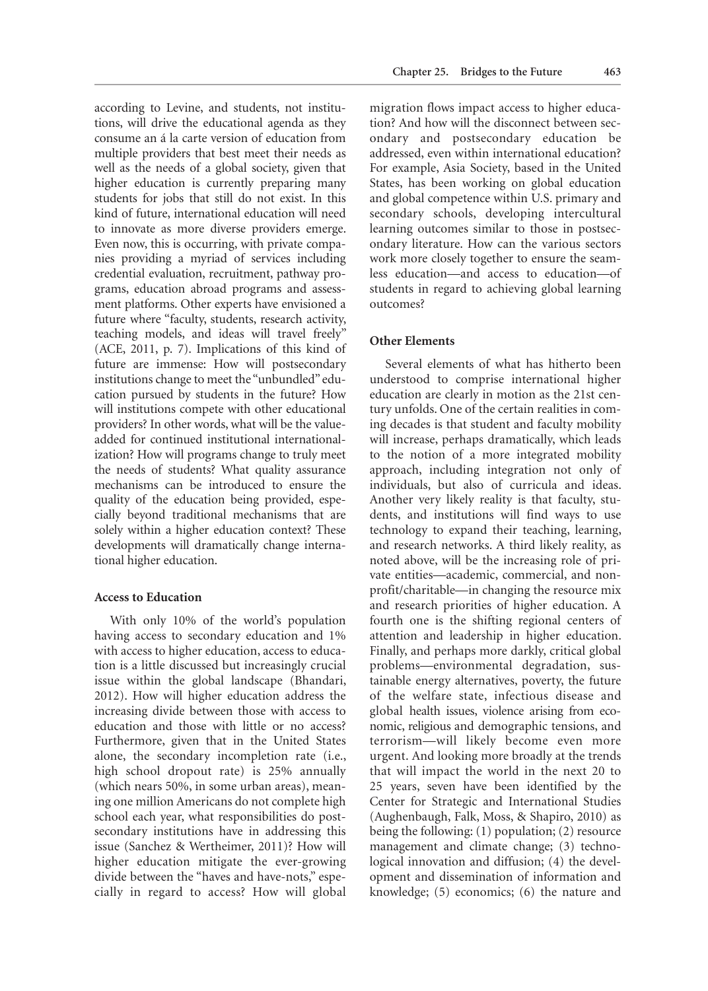according to Levine, and students, not institutions, will drive the educational agenda as they consume an á la carte version of education from multiple providers that best meet their needs as well as the needs of a global society, given that higher education is currently preparing many students for jobs that still do not exist. In this kind of future, international education will need to innovate as more diverse providers emerge. Even now, this is occurring, with private companies providing a myriad of services including credential evaluation, recruitment, pathway programs, education abroad programs and assessment platforms. Other experts have envisioned a future where "faculty, students, research activity, teaching models, and ideas will travel freely" (ACE, 2011, p. 7). Implications of this kind of future are immense: How will postsecondary institutions change to meet the "unbundled" education pursued by students in the future? How will institutions compete with other educational providers? In other words, what will be the valueadded for continued institutional internationalization? How will programs change to truly meet the needs of students? What quality assurance mechanisms can be introduced to ensure the quality of the education being provided, especially beyond traditional mechanisms that are solely within a higher education context? These developments will dramatically change interna-

#### **Access to Education**

tional higher education.

With only 10% of the world's population having access to secondary education and 1% with access to higher education, access to education is a little discussed but increasingly crucial issue within the global landscape (Bhandari, 2012). How will higher education address the increasing divide between those with access to education and those with little or no access? Furthermore, given that in the United States alone, the secondary incompletion rate (i.e., high school dropout rate) is 25% annually (which nears 50%, in some urban areas), meaning one million Americans do not complete high school each year, what responsibilities do postsecondary institutions have in addressing this issue (Sanchez & Wertheimer, 2011)? How will higher education mitigate the ever-growing divide between the "haves and have-nots," especially in regard to access? How will global

migration flows impact access to higher education? And how will the disconnect between secondary and postsecondary education be addressed, even within international education? For example, Asia Society, based in the United States, has been working on global education and global competence within U.S. primary and secondary schools, developing intercultural learning outcomes similar to those in postsecondary literature. How can the various sectors work more closely together to ensure the seamless education—and access to education—of students in regard to achieving global learning outcomes?

#### **Other Elements**

Several elements of what has hitherto been understood to comprise international higher education are clearly in motion as the 21st century unfolds. One of the certain realities in coming decades is that student and faculty mobility will increase, perhaps dramatically, which leads to the notion of a more integrated mobility approach, including integration not only of individuals, but also of curricula and ideas. Another very likely reality is that faculty, students, and institutions will find ways to use technology to expand their teaching, learning, and research networks. A third likely reality, as noted above, will be the increasing role of private entities—academic, commercial, and nonprofit/charitable—in changing the resource mix and research priorities of higher education. A fourth one is the shifting regional centers of attention and leadership in higher education. Finally, and perhaps more darkly, critical global problems—environmental degradation, sustainable energy alternatives, poverty, the future of the welfare state, infectious disease and global health issues, violence arising from economic, religious and demographic tensions, and terrorism—will likely become even more urgent. And looking more broadly at the trends that will impact the world in the next 20 to 25 years, seven have been identified by the Center for Strategic and International Studies (Aughenbaugh, Falk, Moss, & Shapiro, 2010) as being the following: (1) population; (2) resource management and climate change; (3) technological innovation and diffusion; (4) the development and dissemination of information and knowledge; (5) economics; (6) the nature and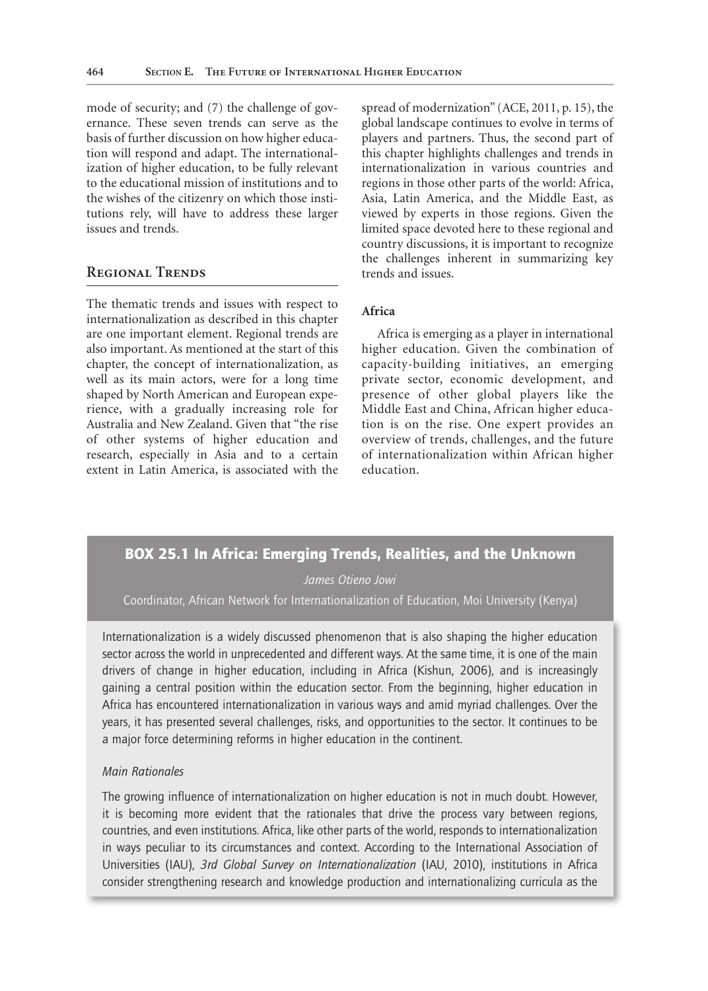mode of security; and (7) the challenge of governance. These seven trends can serve as the basis of further discussion on how higher education will respond and adapt. The internationalization of higher education, to be fully relevant to the educational mission of institutions and to the wishes of the citizenry on which those institutions rely, will have to address these larger issues and trends.

#### **Regional Trends**

The thematic trends and issues with respect to internationalization as described in this chapter are one important element. Regional trends are also important. As mentioned at the start of this chapter, the concept of internationalization, as well as its main actors, were for a long time shaped by North American and European experience, with a gradually increasing role for Australia and New Zealand. Given that "the rise of other systems of higher education and research, especially in Asia and to a certain extent in Latin America, is associated with the

spread of modernization" (ACE, 2011, p. 15), the global landscape continues to evolve in terms of players and partners. Thus, the second part of this chapter highlights challenges and trends in internationalization in various countries and regions in those other parts of the world: Africa, Asia, Latin America, and the Middle East, as viewed by experts in those regions. Given the limited space devoted here to these regional and country discussions, it is important to recognize the challenges inherent in summarizing key trends and issues.

#### **Africa**

Africa is emerging as a player in international higher education. Given the combination of capacity-building initiatives, an emerging private sector, economic development, and presence of other global players like the Middle East and China, African higher education is on the rise. One expert provides an overview of trends, challenges, and the future of internationalization within African higher education.

### BOX 25.1 In Africa: Emerging Trends, Realities, and the Unknown

*James Otieno Jowi*

Coordinator, African Network for Internationalization of Education, Moi University (Kenya)

Internationalization is a widely discussed phenomenon that is also shaping the higher education sector across the world in unprecedented and different ways. At the same time, it is one of the main drivers of change in higher education, including in Africa (Kishun, 2006), and is increasingly gaining a central position within the education sector. From the beginning, higher education in Africa has encountered internationalization in various ways and amid myriad challenges. Over the years, it has presented several challenges, risks, and opportunities to the sector. It continues to be a major force determining reforms in higher education in the continent.

#### *Main Rationales*

The growing influence of internationalization on higher education is not in much doubt. However, it is becoming more evident that the rationales that drive the process vary between regions, countries, and even institutions. Africa, like other parts of the world, responds to internationalization in ways peculiar to its circumstances and context. According to the International Association of Universities (IAU), *3rd Global Survey on Internationalization* (IAU, 2010), institutions in Africa consider strengthening research and knowledge production and internationalizing curricula as the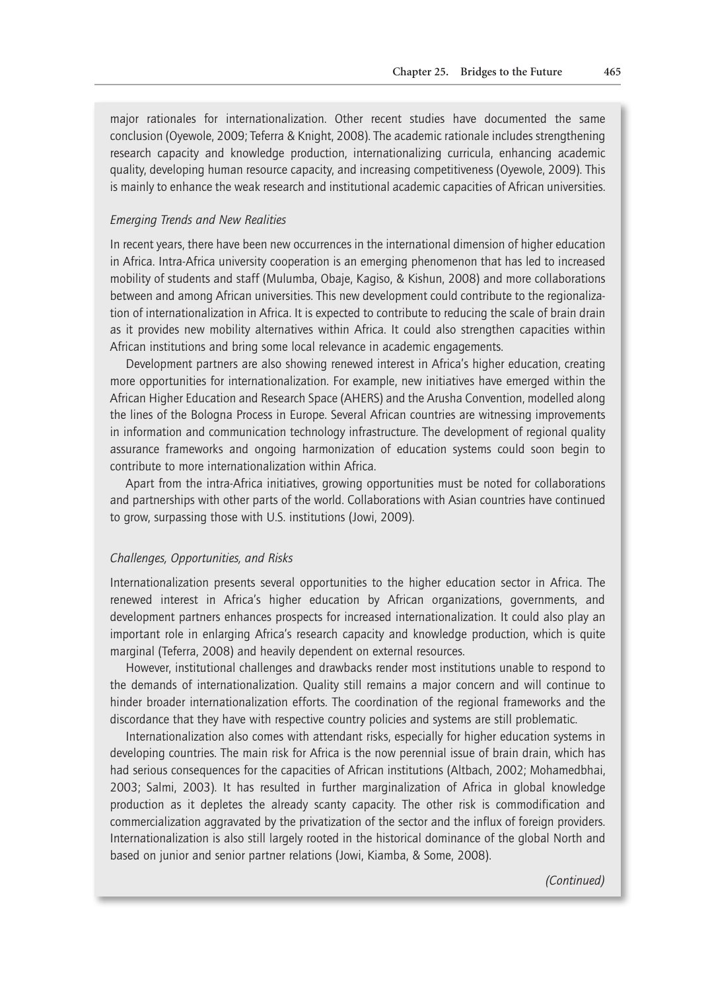major rationales for internationalization. Other recent studies have documented the same conclusion (Oyewole, 2009; Teferra & Knight, 2008). The academic rationale includes strengthening research capacity and knowledge production, internationalizing curricula, enhancing academic quality, developing human resource capacity, and increasing competitiveness (Oyewole, 2009). This is mainly to enhance the weak research and institutional academic capacities of African universities.

#### *Emerging Trends and New Realities*

In recent years, there have been new occurrences in the international dimension of higher education in Africa. Intra-Africa university cooperation is an emerging phenomenon that has led to increased mobility of students and staff (Mulumba, Obaje, Kagiso, & Kishun, 2008) and more collaborations between and among African universities. This new development could contribute to the regionalization of internationalization in Africa. It is expected to contribute to reducing the scale of brain drain as it provides new mobility alternatives within Africa. It could also strengthen capacities within African institutions and bring some local relevance in academic engagements.

Development partners are also showing renewed interest in Africa's higher education, creating more opportunities for internationalization. For example, new initiatives have emerged within the African Higher Education and Research Space (AHERS) and the Arusha Convention, modelled along the lines of the Bologna Process in Europe. Several African countries are witnessing improvements in information and communication technology infrastructure. The development of regional quality assurance frameworks and ongoing harmonization of education systems could soon begin to contribute to more internationalization within Africa.

Apart from the intra-Africa initiatives, growing opportunities must be noted for collaborations and partnerships with other parts of the world. Collaborations with Asian countries have continued to grow, surpassing those with U.S. institutions (Jowi, 2009).

#### *Challenges, Opportunities, and Risks*

Internationalization presents several opportunities to the higher education sector in Africa. The renewed interest in Africa's higher education by African organizations, governments, and development partners enhances prospects for increased internationalization. It could also play an important role in enlarging Africa's research capacity and knowledge production, which is quite marginal (Teferra, 2008) and heavily dependent on external resources.

However, institutional challenges and drawbacks render most institutions unable to respond to the demands of internationalization. Quality still remains a major concern and will continue to hinder broader internationalization efforts. The coordination of the regional frameworks and the discordance that they have with respective country policies and systems are still problematic.

Internationalization also comes with attendant risks, especially for higher education systems in developing countries. The main risk for Africa is the now perennial issue of brain drain, which has had serious consequences for the capacities of African institutions (Altbach, 2002; Mohamedbhai, 2003; Salmi, 2003). It has resulted in further marginalization of Africa in global knowledge production as it depletes the already scanty capacity. The other risk is commodification and commercialization aggravated by the privatization of the sector and the influx of foreign providers. Internationalization is also still largely rooted in the historical dominance of the global North and based on junior and senior partner relations (Jowi, Kiamba, & Some, 2008).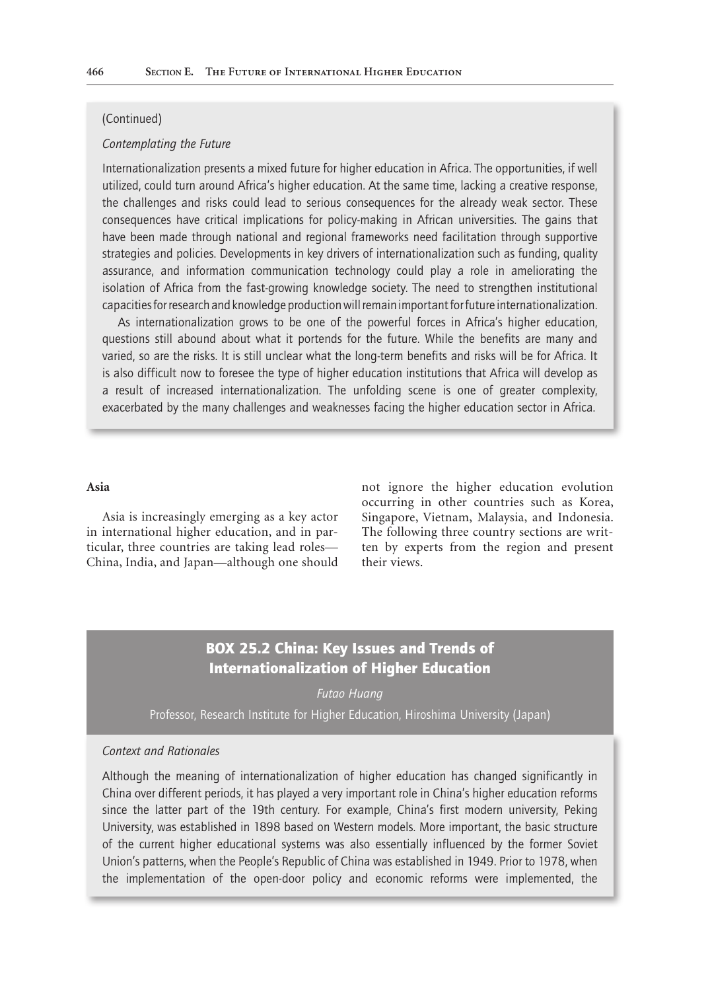#### *Contemplating the Future*

Internationalization presents a mixed future for higher education in Africa. The opportunities, if well utilized, could turn around Africa's higher education. At the same time, lacking a creative response, the challenges and risks could lead to serious consequences for the already weak sector. These consequences have critical implications for policy-making in African universities. The gains that have been made through national and regional frameworks need facilitation through supportive strategies and policies. Developments in key drivers of internationalization such as funding, quality assurance, and information communication technology could play a role in ameliorating the isolation of Africa from the fast-growing knowledge society. The need to strengthen institutional capacities for research and knowledge production will remain important for future internationalization.

As internationalization grows to be one of the powerful forces in Africa's higher education, questions still abound about what it portends for the future. While the benefits are many and varied, so are the risks. It is still unclear what the long-term benefits and risks will be for Africa. It is also difficult now to foresee the type of higher education institutions that Africa will develop as a result of increased internationalization. The unfolding scene is one of greater complexity, exacerbated by the many challenges and weaknesses facing the higher education sector in Africa.

#### **Asia**

Asia is increasingly emerging as a key actor in international higher education, and in particular, three countries are taking lead roles— China, India, and Japan—although one should not ignore the higher education evolution occurring in other countries such as Korea, Singapore, Vietnam, Malaysia, and Indonesia. The following three country sections are written by experts from the region and present their views.

# BOX 25.2 China: Key Issues and Trends of Internationalization of Higher Education

#### *Futao Huang*

Professor, Research Institute for Higher Education, Hiroshima University (Japan)

#### *Context and Rationales*

Although the meaning of internationalization of higher education has changed significantly in China over different periods, it has played a very important role in China's higher education reforms since the latter part of the 19th century. For example, China's first modern university, Peking University, was established in 1898 based on Western models. More important, the basic structure of the current higher educational systems was also essentially influenced by the former Soviet Union's patterns, when the People's Republic of China was established in 1949. Prior to 1978, when the implementation of the open-door policy and economic reforms were implemented, the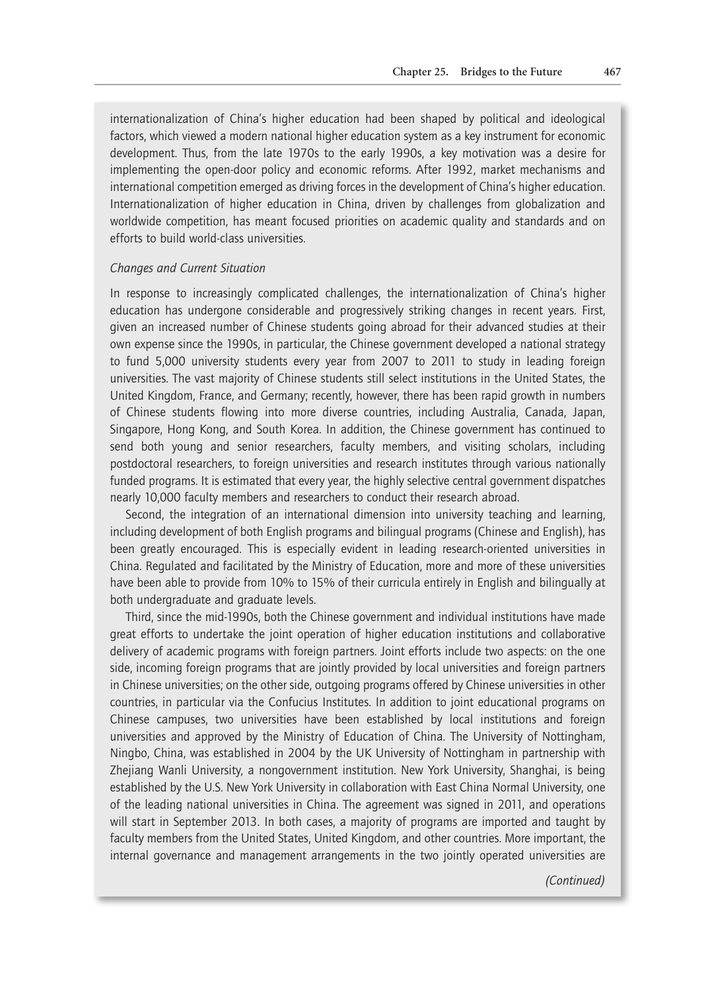internationalization of China's higher education had been shaped by political and ideological factors, which viewed a modern national higher education system as a key instrument for economic development. Thus, from the late 1970s to the early 1990s, a key motivation was a desire for implementing the open-door policy and economic reforms. After 1992, market mechanisms and international competition emerged as driving forces in the development of China's higher education. Internationalization of higher education in China, driven by challenges from globalization and worldwide competition, has meant focused priorities on academic quality and standards and on efforts to build world-class universities.

#### *Changes and Current Situation*

In response to increasingly complicated challenges, the internationalization of China's higher education has undergone considerable and progressively striking changes in recent years. First, given an increased number of Chinese students going abroad for their advanced studies at their own expense since the 1990s, in particular, the Chinese government developed a national strategy to fund 5,000 university students every year from 2007 to 2011 to study in leading foreign universities. The vast majority of Chinese students still select institutions in the United States, the United Kingdom, France, and Germany; recently, however, there has been rapid growth in numbers of Chinese students flowing into more diverse countries, including Australia, Canada, Japan, Singapore, Hong Kong, and South Korea. In addition, the Chinese government has continued to send both young and senior researchers, faculty members, and visiting scholars, including postdoctoral researchers, to foreign universities and research institutes through various nationally funded programs. It is estimated that every year, the highly selective central government dispatches nearly 10,000 faculty members and researchers to conduct their research abroad.

Second, the integration of an international dimension into university teaching and learning, including development of both English programs and bilingual programs (Chinese and English), has been greatly encouraged. This is especially evident in leading research-oriented universities in China. Regulated and facilitated by the Ministry of Education, more and more of these universities have been able to provide from 10% to 15% of their curricula entirely in English and bilingually at both undergraduate and graduate levels.

Third, since the mid-1990s, both the Chinese government and individual institutions have made great efforts to undertake the joint operation of higher education institutions and collaborative delivery of academic programs with foreign partners. Joint efforts include two aspects: on the one side, incoming foreign programs that are jointly provided by local universities and foreign partners in Chinese universities; on the other side, outgoing programs offered by Chinese universities in other countries, in particular via the Confucius Institutes. In addition to joint educational programs on Chinese campuses, two universities have been established by local institutions and foreign universities and approved by the Ministry of Education of China. The University of Nottingham, Ningbo, China, was established in 2004 by the UK University of Nottingham in partnership with Zhejiang Wanli University, a nongovernment institution. New York University, Shanghai, is being established by the U.S. New York University in collaboration with East China Normal University, one of the leading national universities in China. The agreement was signed in 2011, and operations will start in September 2013. In both cases, a majority of programs are imported and taught by faculty members from the United States, United Kingdom, and other countries. More important, the internal governance and management arrangements in the two jointly operated universities are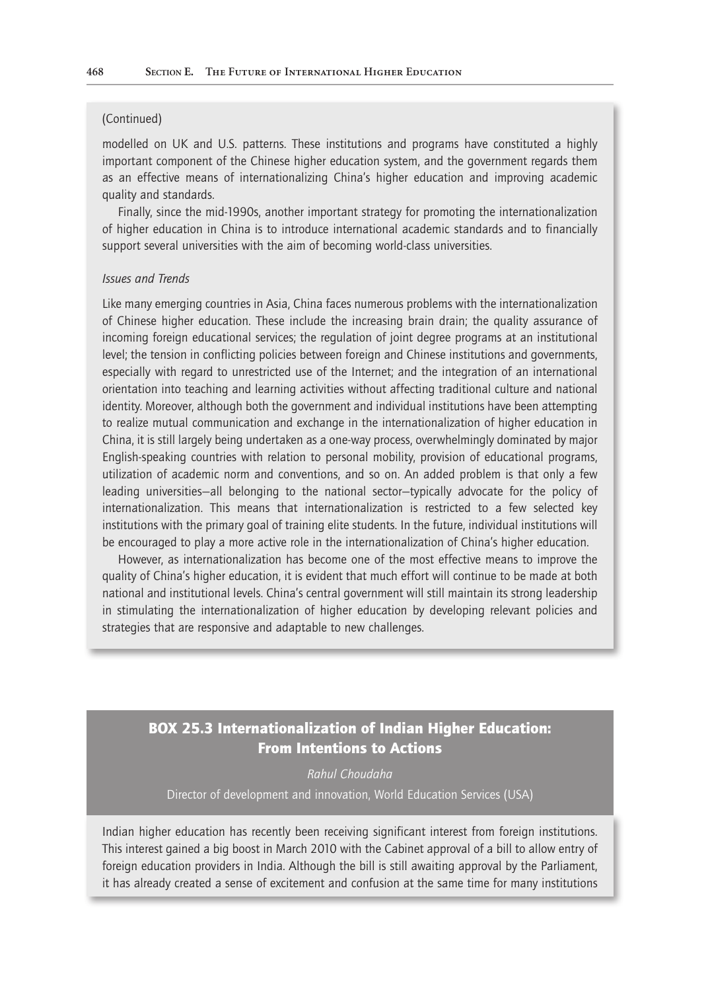modelled on UK and U.S. patterns. These institutions and programs have constituted a highly important component of the Chinese higher education system, and the government regards them as an effective means of internationalizing China's higher education and improving academic quality and standards.

Finally, since the mid-1990s, another important strategy for promoting the internationalization of higher education in China is to introduce international academic standards and to financially support several universities with the aim of becoming world-class universities.

#### *Issues and Trends*

Like many emerging countries in Asia, China faces numerous problems with the internationalization of Chinese higher education. These include the increasing brain drain; the quality assurance of incoming foreign educational services; the regulation of joint degree programs at an institutional level; the tension in conflicting policies between foreign and Chinese institutions and governments, especially with regard to unrestricted use of the Internet; and the integration of an international orientation into teaching and learning activities without affecting traditional culture and national identity. Moreover, although both the government and individual institutions have been attempting to realize mutual communication and exchange in the internationalization of higher education in China, it is still largely being undertaken as a one-way process, overwhelmingly dominated by major English-speaking countries with relation to personal mobility, provision of educational programs, utilization of academic norm and conventions, and so on. An added problem is that only a few leading universities—all belonging to the national sector—typically advocate for the policy of internationalization. This means that internationalization is restricted to a few selected key institutions with the primary goal of training elite students. In the future, individual institutions will be encouraged to play a more active role in the internationalization of China's higher education.

However, as internationalization has become one of the most effective means to improve the quality of China's higher education, it is evident that much effort will continue to be made at both national and institutional levels. China's central government will still maintain its strong leadership in stimulating the internationalization of higher education by developing relevant policies and strategies that are responsive and adaptable to new challenges.

# BOX 25.3 Internationalization of Indian Higher Education: From Intentions to Actions

*Rahul Choudaha*

Director of development and innovation, World Education Services (USA)

Indian higher education has recently been receiving significant interest from foreign institutions. This interest gained a big boost in March 2010 with the Cabinet approval of a bill to allow entry of foreign education providers in India. Although the bill is still awaiting approval by the Parliament, it has already created a sense of excitement and confusion at the same time for many institutions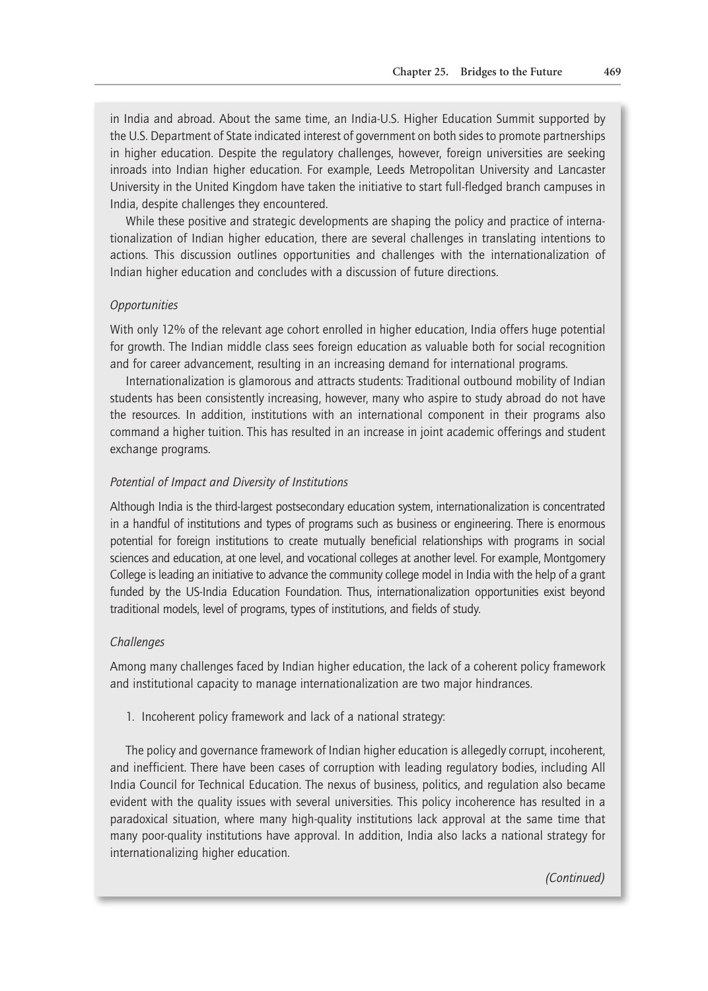in India and abroad. About the same time, an India-U.S. Higher Education Summit supported by the U.S. Department of State indicated interest of government on both sides to promote partnerships in higher education. Despite the regulatory challenges, however, foreign universities are seeking inroads into Indian higher education. For example, Leeds Metropolitan University and Lancaster University in the United Kingdom have taken the initiative to start full-fledged branch campuses in India, despite challenges they encountered.

While these positive and strategic developments are shaping the policy and practice of internationalization of Indian higher education, there are several challenges in translating intentions to actions. This discussion outlines opportunities and challenges with the internationalization of Indian higher education and concludes with a discussion of future directions.

#### *Opportunities*

With only 12% of the relevant age cohort enrolled in higher education, India offers huge potential for growth. The Indian middle class sees foreign education as valuable both for social recognition and for career advancement, resulting in an increasing demand for international programs.

Internationalization is glamorous and attracts students: Traditional outbound mobility of Indian students has been consistently increasing, however, many who aspire to study abroad do not have the resources. In addition, institutions with an international component in their programs also command a higher tuition. This has resulted in an increase in joint academic offerings and student exchange programs.

#### *Potential of Impact and Diversity of Institutions*

Although India is the third-largest postsecondary education system, internationalization is concentrated in a handful of institutions and types of programs such as business or engineering. There is enormous potential for foreign institutions to create mutually beneficial relationships with programs in social sciences and education, at one level, and vocational colleges at another level. For example, Montgomery College is leading an initiative to advance the community college model in India with the help of a grant funded by the US-India Education Foundation. Thus, internationalization opportunities exist beyond traditional models, level of programs, types of institutions, and fields of study.

#### *Challenges*

Among many challenges faced by Indian higher education, the lack of a coherent policy framework and institutional capacity to manage internationalization are two major hindrances.

1. Incoherent policy framework and lack of a national strategy:

The policy and governance framework of Indian higher education is allegedly corrupt, incoherent, and inefficient. There have been cases of corruption with leading regulatory bodies, including All India Council for Technical Education. The nexus of business, politics, and regulation also became evident with the quality issues with several universities. This policy incoherence has resulted in a paradoxical situation, where many high-quality institutions lack approval at the same time that many poor-quality institutions have approval. In addition, India also lacks a national strategy for internationalizing higher education.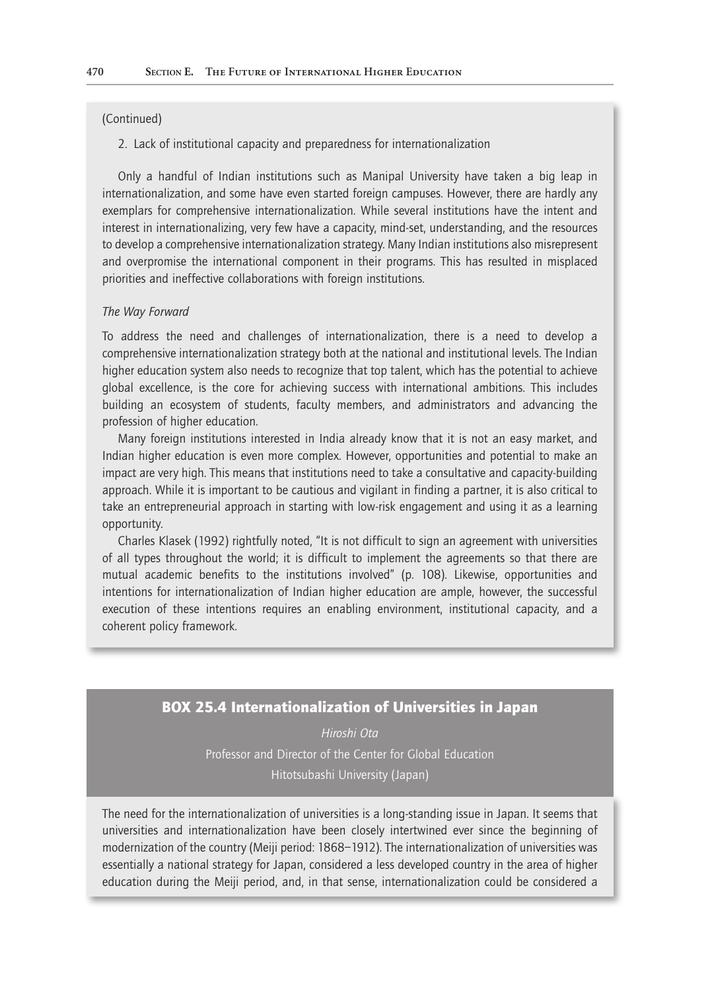#### 2. Lack of institutional capacity and preparedness for internationalization

Only a handful of Indian institutions such as Manipal University have taken a big leap in internationalization, and some have even started foreign campuses. However, there are hardly any exemplars for comprehensive internationalization. While several institutions have the intent and interest in internationalizing, very few have a capacity, mind-set, understanding, and the resources to develop a comprehensive internationalization strategy. Many Indian institutions also misrepresent and overpromise the international component in their programs. This has resulted in misplaced priorities and ineffective collaborations with foreign institutions.

#### *The Way Forward*

To address the need and challenges of internationalization, there is a need to develop a comprehensive internationalization strategy both at the national and institutional levels. The Indian higher education system also needs to recognize that top talent, which has the potential to achieve global excellence, is the core for achieving success with international ambitions. This includes building an ecosystem of students, faculty members, and administrators and advancing the profession of higher education.

Many foreign institutions interested in India already know that it is not an easy market, and Indian higher education is even more complex. However, opportunities and potential to make an impact are very high. This means that institutions need to take a consultative and capacity-building approach. While it is important to be cautious and vigilant in finding a partner, it is also critical to take an entrepreneurial approach in starting with low-risk engagement and using it as a learning opportunity.

Charles Klasek (1992) rightfully noted, "It is not difficult to sign an agreement with universities of all types throughout the world; it is difficult to implement the agreements so that there are mutual academic benefits to the institutions involved" (p. 108). Likewise, opportunities and intentions for internationalization of Indian higher education are ample, however, the successful execution of these intentions requires an enabling environment, institutional capacity, and a coherent policy framework.

# BOX 25.4 Internationalization of Universities in Japan *Hiroshi Ota*

Professor and Director of the Center for Global Education Hitotsubashi University (Japan)

The need for the internationalization of universities is a long-standing issue in Japan. It seems that universities and internationalization have been closely intertwined ever since the beginning of modernization of the country (Meiji period: 1868–1912). The internationalization of universities was essentially a national strategy for Japan, considered a less developed country in the area of higher education during the Meiji period, and, in that sense, internationalization could be considered a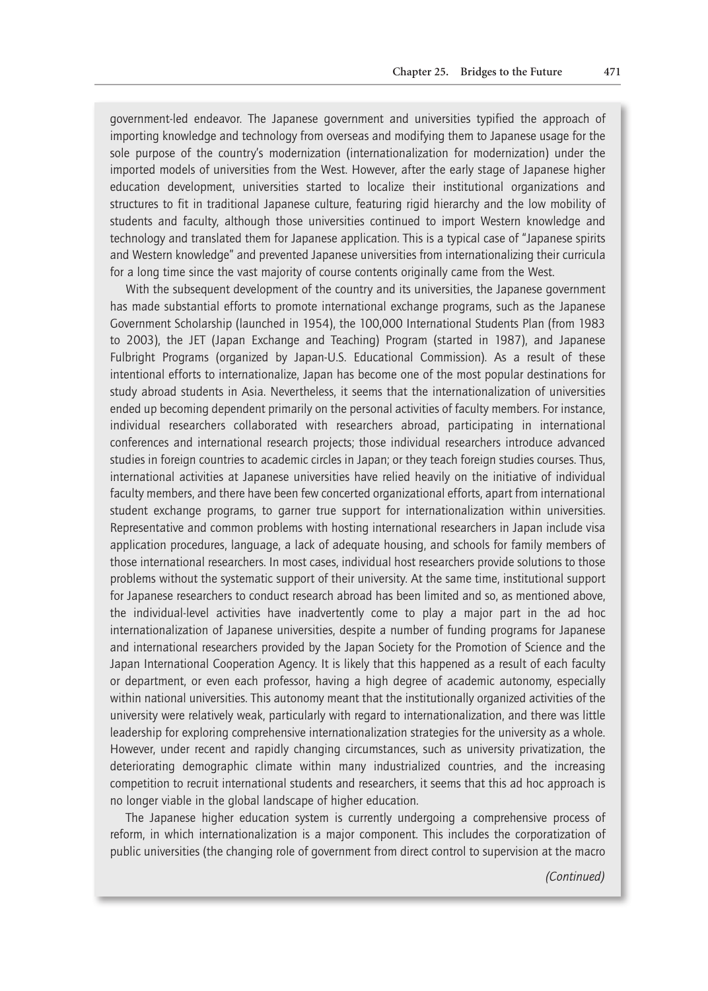government-led endeavor. The Japanese government and universities typified the approach of importing knowledge and technology from overseas and modifying them to Japanese usage for the sole purpose of the country's modernization (internationalization for modernization) under the imported models of universities from the West. However, after the early stage of Japanese higher education development, universities started to localize their institutional organizations and structures to fit in traditional Japanese culture, featuring rigid hierarchy and the low mobility of students and faculty, although those universities continued to import Western knowledge and technology and translated them for Japanese application. This is a typical case of "Japanese spirits and Western knowledge" and prevented Japanese universities from internationalizing their curricula for a long time since the vast majority of course contents originally came from the West.

With the subsequent development of the country and its universities, the Japanese government has made substantial efforts to promote international exchange programs, such as the Japanese Government Scholarship (launched in 1954), the 100,000 International Students Plan (from 1983 to 2003), the JET (Japan Exchange and Teaching) Program (started in 1987), and Japanese Fulbright Programs (organized by Japan-U.S. Educational Commission). As a result of these intentional efforts to internationalize, Japan has become one of the most popular destinations for study abroad students in Asia. Nevertheless, it seems that the internationalization of universities ended up becoming dependent primarily on the personal activities of faculty members. For instance, individual researchers collaborated with researchers abroad, participating in international conferences and international research projects; those individual researchers introduce advanced studies in foreign countries to academic circles in Japan; or they teach foreign studies courses. Thus, international activities at Japanese universities have relied heavily on the initiative of individual faculty members, and there have been few concerted organizational efforts, apart from international student exchange programs, to garner true support for internationalization within universities. Representative and common problems with hosting international researchers in Japan include visa application procedures, language, a lack of adequate housing, and schools for family members of those international researchers. In most cases, individual host researchers provide solutions to those problems without the systematic support of their university. At the same time, institutional support for Japanese researchers to conduct research abroad has been limited and so, as mentioned above, the individual-level activities have inadvertently come to play a major part in the ad hoc internationalization of Japanese universities, despite a number of funding programs for Japanese and international researchers provided by the Japan Society for the Promotion of Science and the Japan International Cooperation Agency. It is likely that this happened as a result of each faculty or department, or even each professor, having a high degree of academic autonomy, especially within national universities. This autonomy meant that the institutionally organized activities of the university were relatively weak, particularly with regard to internationalization, and there was little leadership for exploring comprehensive internationalization strategies for the university as a whole. However, under recent and rapidly changing circumstances, such as university privatization, the deteriorating demographic climate within many industrialized countries, and the increasing competition to recruit international students and researchers, it seems that this ad hoc approach is no longer viable in the global landscape of higher education.

The Japanese higher education system is currently undergoing a comprehensive process of reform, in which internationalization is a major component. This includes the corporatization of public universities (the changing role of government from direct control to supervision at the macro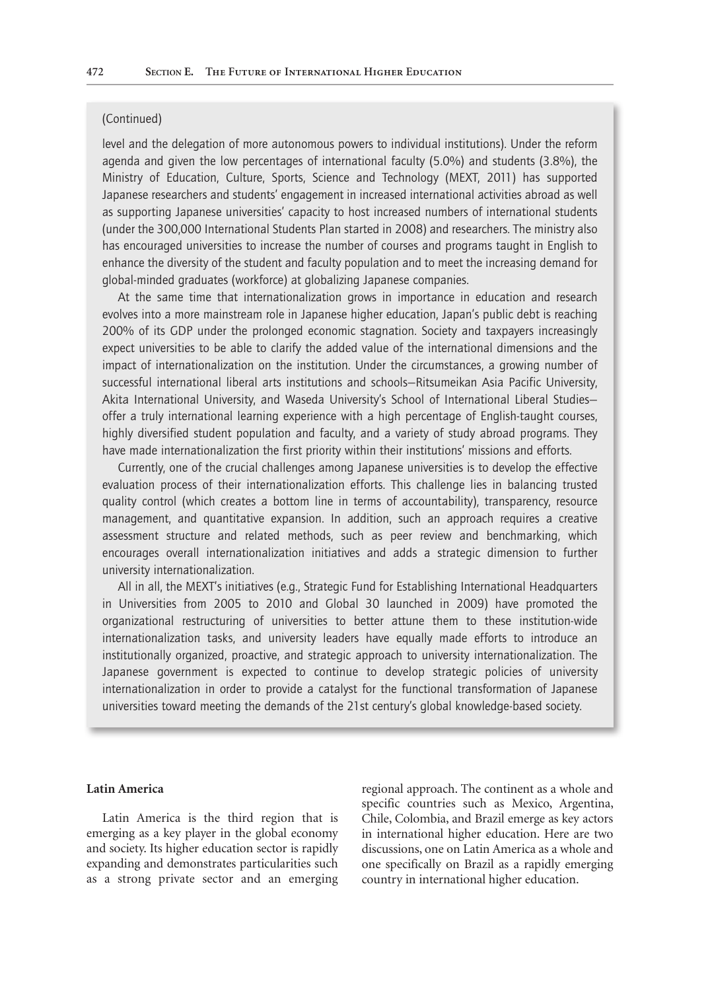level and the delegation of more autonomous powers to individual institutions). Under the reform agenda and given the low percentages of international faculty (5.0%) and students (3.8%), the Ministry of Education, Culture, Sports, Science and Technology (MEXT, 2011) has supported Japanese researchers and students' engagement in increased international activities abroad as well as supporting Japanese universities' capacity to host increased numbers of international students (under the 300,000 International Students Plan started in 2008) and researchers. The ministry also has encouraged universities to increase the number of courses and programs taught in English to enhance the diversity of the student and faculty population and to meet the increasing demand for global-minded graduates (workforce) at globalizing Japanese companies.

At the same time that internationalization grows in importance in education and research evolves into a more mainstream role in Japanese higher education, Japan's public debt is reaching 200% of its GDP under the prolonged economic stagnation. Society and taxpayers increasingly expect universities to be able to clarify the added value of the international dimensions and the impact of internationalization on the institution. Under the circumstances, a growing number of successful international liberal arts institutions and schools—Ritsumeikan Asia Pacific University, Akita International University, and Waseda University's School of International Liberal Studies offer a truly international learning experience with a high percentage of English-taught courses, highly diversified student population and faculty, and a variety of study abroad programs. They have made internationalization the first priority within their institutions' missions and efforts.

Currently, one of the crucial challenges among Japanese universities is to develop the effective evaluation process of their internationalization efforts. This challenge lies in balancing trusted quality control (which creates a bottom line in terms of accountability), transparency, resource management, and quantitative expansion. In addition, such an approach requires a creative assessment structure and related methods, such as peer review and benchmarking, which encourages overall internationalization initiatives and adds a strategic dimension to further university internationalization.

All in all, the MEXT's initiatives (e.g., Strategic Fund for Establishing International Headquarters in Universities from 2005 to 2010 and Global 30 launched in 2009) have promoted the organizational restructuring of universities to better attune them to these institution-wide internationalization tasks, and university leaders have equally made efforts to introduce an institutionally organized, proactive, and strategic approach to university internationalization. The Japanese government is expected to continue to develop strategic policies of university internationalization in order to provide a catalyst for the functional transformation of Japanese universities toward meeting the demands of the 21st century's global knowledge-based society.

#### **Latin America**

Latin America is the third region that is emerging as a key player in the global economy and society. Its higher education sector is rapidly expanding and demonstrates particularities such as a strong private sector and an emerging

regional approach. The continent as a whole and specific countries such as Mexico, Argentina, Chile, Colombia, and Brazil emerge as key actors in international higher education. Here are two discussions, one on Latin America as a whole and one specifically on Brazil as a rapidly emerging country in international higher education.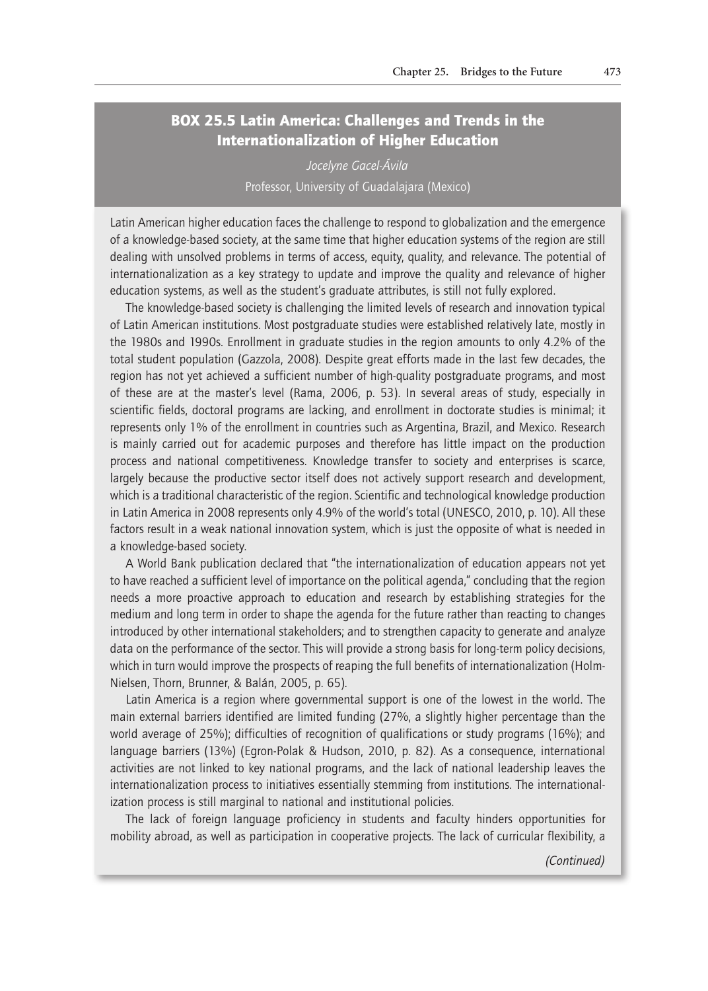# BOX 25.5 Latin America: Challenges and Trends in the Internationalization of Higher Education

*Jocelyne Gacel-Ávila* Professor, University of Guadalajara (Mexico)

Latin American higher education faces the challenge to respond to globalization and the emergence of a knowledge-based society, at the same time that higher education systems of the region are still dealing with unsolved problems in terms of access, equity, quality, and relevance. The potential of internationalization as a key strategy to update and improve the quality and relevance of higher education systems, as well as the student's graduate attributes, is still not fully explored.

The knowledge-based society is challenging the limited levels of research and innovation typical of Latin American institutions. Most postgraduate studies were established relatively late, mostly in the 1980s and 1990s. Enrollment in graduate studies in the region amounts to only 4.2% of the total student population (Gazzola, 2008). Despite great efforts made in the last few decades, the region has not yet achieved a sufficient number of high-quality postgraduate programs, and most of these are at the master's level (Rama, 2006, p. 53). In several areas of study, especially in scientific fields, doctoral programs are lacking, and enrollment in doctorate studies is minimal; it represents only 1% of the enrollment in countries such as Argentina, Brazil, and Mexico. Research is mainly carried out for academic purposes and therefore has little impact on the production process and national competitiveness. Knowledge transfer to society and enterprises is scarce, largely because the productive sector itself does not actively support research and development, which is a traditional characteristic of the region. Scientific and technological knowledge production in Latin America in 2008 represents only 4.9% of the world's total (UNESCO, 2010, p. 10). All these factors result in a weak national innovation system, which is just the opposite of what is needed in a knowledge-based society.

A World Bank publication declared that "the internationalization of education appears not yet to have reached a sufficient level of importance on the political agenda," concluding that the region needs a more proactive approach to education and research by establishing strategies for the medium and long term in order to shape the agenda for the future rather than reacting to changes introduced by other international stakeholders; and to strengthen capacity to generate and analyze data on the performance of the sector. This will provide a strong basis for long-term policy decisions, which in turn would improve the prospects of reaping the full benefits of internationalization (Holm-Nielsen, Thorn, Brunner, & Balán, 2005, p. 65).

Latin America is a region where governmental support is one of the lowest in the world. The main external barriers identified are limited funding (27%, a slightly higher percentage than the world average of 25%); difficulties of recognition of qualifications or study programs (16%); and language barriers (13%) (Egron-Polak & Hudson, 2010, p. 82). As a consequence, international activities are not linked to key national programs, and the lack of national leadership leaves the internationalization process to initiatives essentially stemming from institutions. The internationalization process is still marginal to national and institutional policies.

The lack of foreign language proficiency in students and faculty hinders opportunities for mobility abroad, as well as participation in cooperative projects. The lack of curricular flexibility, a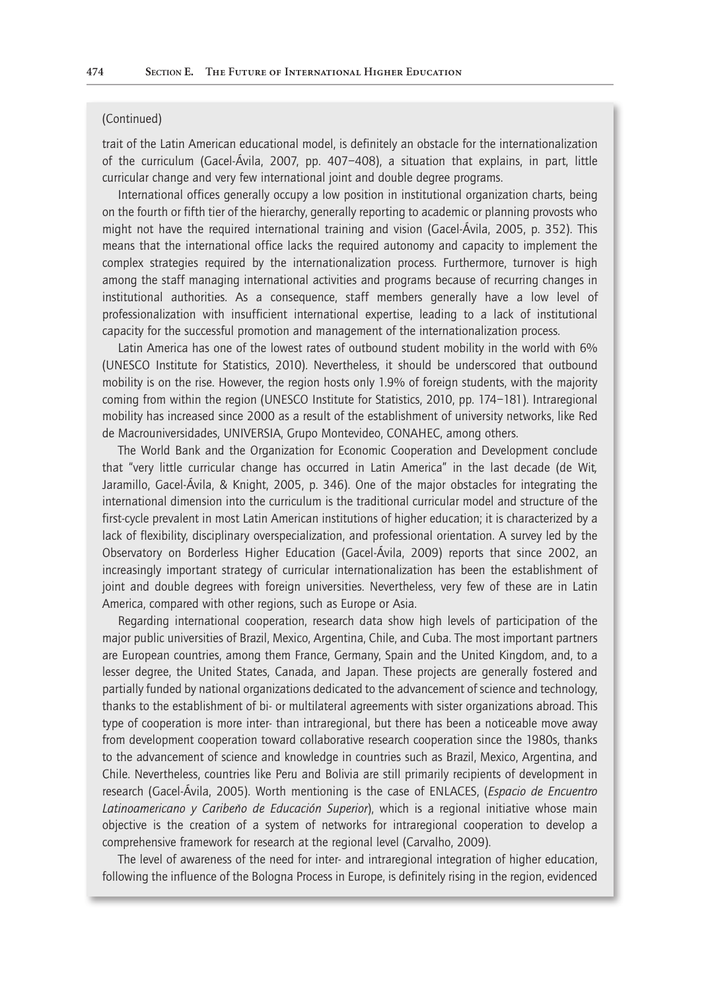trait of the Latin American educational model, is definitely an obstacle for the internationalization of the curriculum (Gacel-Ávila, 2007, pp. 407–408), a situation that explains, in part, little curricular change and very few international joint and double degree programs.

International offices generally occupy a low position in institutional organization charts, being on the fourth or fifth tier of the hierarchy, generally reporting to academic or planning provosts who might not have the required international training and vision (Gacel-Ávila, 2005, p. 352). This means that the international office lacks the required autonomy and capacity to implement the complex strategies required by the internationalization process. Furthermore, turnover is high among the staff managing international activities and programs because of recurring changes in institutional authorities. As a consequence, staff members generally have a low level of professionalization with insufficient international expertise, leading to a lack of institutional capacity for the successful promotion and management of the internationalization process.

Latin America has one of the lowest rates of outbound student mobility in the world with 6% (UNESCO Institute for Statistics, 2010). Nevertheless, it should be underscored that outbound mobility is on the rise. However, the region hosts only 1.9% of foreign students, with the majority coming from within the region (UNESCO Institute for Statistics, 2010, pp. 174–181). Intraregional mobility has increased since 2000 as a result of the establishment of university networks, like Red de Macrouniversidades, UNIVERSIA, Grupo Montevideo, CONAHEC, among others.

The World Bank and the Organization for Economic Cooperation and Development conclude that "very little curricular change has occurred in Latin America" in the last decade (de Wit*,*  Jaramillo, Gacel-Ávila, & Knight, 2005, p. 346). One of the major obstacles for integrating the international dimension into the curriculum is the traditional curricular model and structure of the first-cycle prevalent in most Latin American institutions of higher education; it is characterized by a lack of flexibility, disciplinary overspecialization, and professional orientation. A survey led by the Observatory on Borderless Higher Education (Gacel-Ávila, 2009) reports that since 2002, an increasingly important strategy of curricular internationalization has been the establishment of joint and double degrees with foreign universities. Nevertheless, very few of these are in Latin America, compared with other regions, such as Europe or Asia.

Regarding international cooperation, research data show high levels of participation of the major public universities of Brazil, Mexico, Argentina, Chile, and Cuba. The most important partners are European countries, among them France, Germany, Spain and the United Kingdom, and, to a lesser degree, the United States, Canada, and Japan. These projects are generally fostered and partially funded by national organizations dedicated to the advancement of science and technology, thanks to the establishment of bi- or multilateral agreements with sister organizations abroad. This type of cooperation is more inter- than intraregional, but there has been a noticeable move away from development cooperation toward collaborative research cooperation since the 1980s, thanks to the advancement of science and knowledge in countries such as Brazil, Mexico, Argentina, and Chile. Nevertheless, countries like Peru and Bolivia are still primarily recipients of development in research (Gacel-Ávila, 2005). Worth mentioning is the case of ENLACES, (*Espacio de Encuentro Latinoamericano y Caribeño de Educación Superior*), which is a regional initiative whose main objective is the creation of a system of networks for intraregional cooperation to develop a comprehensive framework for research at the regional level (Carvalho, 2009).

The level of awareness of the need for inter- and intraregional integration of higher education, following the influence of the Bologna Process in Europe, is definitely rising in the region, evidenced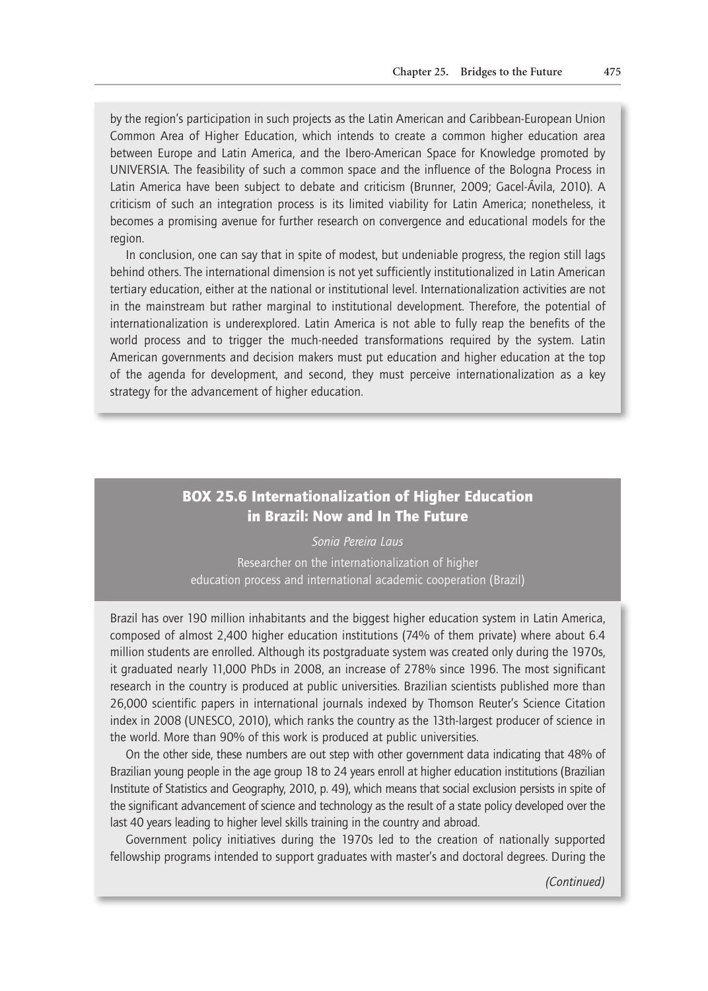by the region's participation in such projects as the Latin American and Caribbean-European Union Common Area of Higher Education, which intends to create a common higher education area between Europe and Latin America, and the Ibero-American Space for Knowledge promoted by UNIVERSIA. The feasibility of such a common space and the influence of the Bologna Process in Latin America have been subject to debate and criticism (Brunner, 2009; Gacel-Ávila, 2010). A criticism of such an integration process is its limited viability for Latin America; nonetheless, it becomes a promising avenue for further research on convergence and educational models for the region.

In conclusion, one can say that in spite of modest, but undeniable progress, the region still lags behind others. The international dimension is not yet sufficiently institutionalized in Latin American tertiary education, either at the national or institutional level. Internationalization activities are not in the mainstream but rather marginal to institutional development. Therefore, the potential of internationalization is underexplored. Latin America is not able to fully reap the benefits of the world process and to trigger the much-needed transformations required by the system. Latin American governments and decision makers must put education and higher education at the top of the agenda for development, and second, they must perceive internationalization as a key strategy for the advancement of higher education.

# BOX 25.6 Internationalization of Higher Education in Brazil: Now and In The Future

*Sonia Pereira Laus*

Researcher on the internationalization of higher education process and international academic cooperation (Brazil)

Brazil has over 190 million inhabitants and the biggest higher education system in Latin America, composed of almost 2,400 higher education institutions (74% of them private) where about 6.4 million students are enrolled. Although its postgraduate system was created only during the 1970s, it graduated nearly 11,000 PhDs in 2008, an increase of 278% since 1996. The most significant research in the country is produced at public universities. Brazilian scientists published more than 26,000 scientific papers in international journals indexed by Thomson Reuter's Science Citation index in 2008 (UNESCO, 2010), which ranks the country as the 13th-largest producer of science in the world. More than 90% of this work is produced at public universities.

On the other side, these numbers are out step with other government data indicating that 48% of Brazilian young people in the age group 18 to 24 years enroll at higher education institutions (Brazilian Institute of Statistics and Geography, 2010, p. 49), which means that social exclusion persists in spite of the significant advancement of science and technology as the result of a state policy developed over the last 40 years leading to higher level skills training in the country and abroad.

Government policy initiatives during the 1970s led to the creation of nationally supported fellowship programs intended to support graduates with master's and doctoral degrees. During the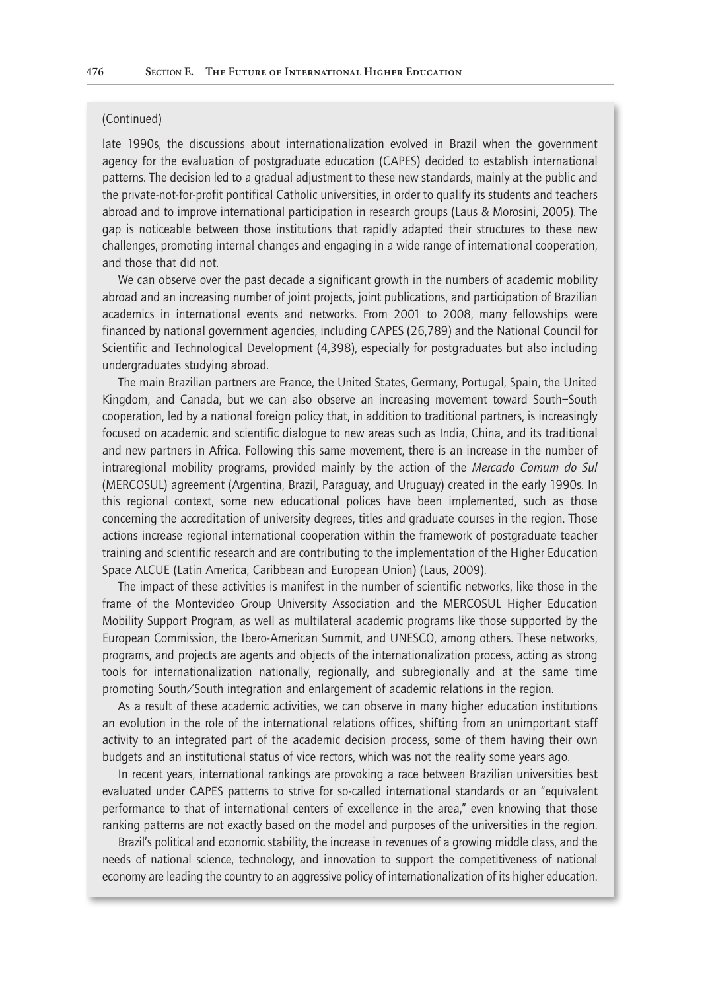late 1990s, the discussions about internationalization evolved in Brazil when the government agency for the evaluation of postgraduate education (CAPES) decided to establish international patterns. The decision led to a gradual adjustment to these new standards, mainly at the public and the private-not-for-profit pontifical Catholic universities, in order to qualify its students and teachers abroad and to improve international participation in research groups (Laus & Morosini, 2005). The gap is noticeable between those institutions that rapidly adapted their structures to these new challenges, promoting internal changes and engaging in a wide range of international cooperation, and those that did not.

We can observe over the past decade a significant growth in the numbers of academic mobility abroad and an increasing number of joint projects, joint publications, and participation of Brazilian academics in international events and networks. From 2001 to 2008, many fellowships were financed by national government agencies, including CAPES (26,789) and the National Council for Scientific and Technological Development (4,398), especially for postgraduates but also including undergraduates studying abroad.

The main Brazilian partners are France, the United States, Germany, Portugal, Spain, the United Kingdom, and Canada, but we can also observe an increasing movement toward South–South cooperation, led by a national foreign policy that, in addition to traditional partners, is increasingly focused on academic and scientific dialogue to new areas such as India, China, and its traditional and new partners in Africa. Following this same movement, there is an increase in the number of intraregional mobility programs, provided mainly by the action of the *Mercado Comum do Sul*  (MERCOSUL) agreement (Argentina, Brazil, Paraguay, and Uruguay) created in the early 1990s. In this regional context, some new educational polices have been implemented, such as those concerning the accreditation of university degrees, titles and graduate courses in the region. Those actions increase regional international cooperation within the framework of postgraduate teacher training and scientific research and are contributing to the implementation of the Higher Education Space ALCUE (Latin America, Caribbean and European Union) (Laus, 2009).

The impact of these activities is manifest in the number of scientific networks, like those in the frame of the Montevideo Group University Association and the MERCOSUL Higher Education Mobility Support Program, as well as multilateral academic programs like those supported by the European Commission, the Ibero-American Summit, and UNESCO, among others. These networks, programs, and projects are agents and objects of the internationalization process, acting as strong tools for internationalization nationally, regionally, and subregionally and at the same time promoting South/South integration and enlargement of academic relations in the region.

As a result of these academic activities, we can observe in many higher education institutions an evolution in the role of the international relations offices, shifting from an unimportant staff activity to an integrated part of the academic decision process, some of them having their own budgets and an institutional status of vice rectors, which was not the reality some years ago.

In recent years, international rankings are provoking a race between Brazilian universities best evaluated under CAPES patterns to strive for so-called international standards or an "equivalent performance to that of international centers of excellence in the area," even knowing that those ranking patterns are not exactly based on the model and purposes of the universities in the region.

Brazil's political and economic stability, the increase in revenues of a growing middle class, and the needs of national science, technology, and innovation to support the competitiveness of national economy are leading the country to an aggressive policy of internationalization of its higher education.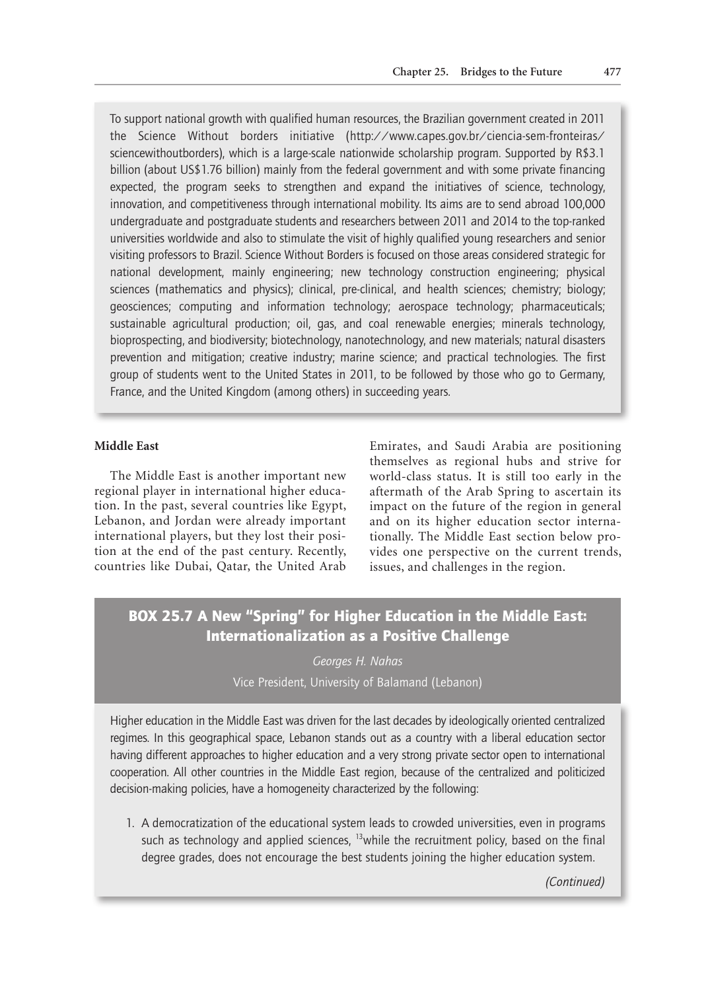To support national growth with qualified human resources, the Brazilian government created in 2011 the Science Without borders initiative (http://www.capes.gov.br/ciencia-sem-fronteiras/ sciencewithoutborders), which is a large-scale nationwide scholarship program. Supported by R\$3.1 billion (about US\$1.76 billion) mainly from the federal government and with some private financing expected, the program seeks to strengthen and expand the initiatives of science, technology, innovation, and competitiveness through international mobility. Its aims are to send abroad 100,000 undergraduate and postgraduate students and researchers between 2011 and 2014 to the top-ranked universities worldwide and also to stimulate the visit of highly qualified young researchers and senior visiting professors to Brazil. Science Without Borders is focused on those areas considered strategic for national development, mainly engineering; new technology construction engineering; physical sciences (mathematics and physics); clinical, pre-clinical, and health sciences; chemistry; biology; geosciences; computing and information technology; aerospace technology; pharmaceuticals; sustainable agricultural production; oil, gas, and coal renewable energies; minerals technology, bioprospecting, and biodiversity; biotechnology, nanotechnology, and new materials; natural disasters prevention and mitigation; creative industry; marine science; and practical technologies. The first group of students went to the United States in 2011, to be followed by those who go to Germany, France, and the United Kingdom (among others) in succeeding years.

#### **Middle East**

The Middle East is another important new regional player in international higher education. In the past, several countries like Egypt, Lebanon, and Jordan were already important international players, but they lost their position at the end of the past century. Recently, countries like Dubai, Qatar, the United Arab

Emirates, and Saudi Arabia are positioning themselves as regional hubs and strive for world-class status. It is still too early in the aftermath of the Arab Spring to ascertain its impact on the future of the region in general and on its higher education sector internationally. The Middle East section below provides one perspective on the current trends, issues, and challenges in the region.

# BOX 25.7 A New "Spring" for Higher Education in the Middle East: Internationalization as a Positive Challenge

*Georges H. Nahas* Vice President, University of Balamand (Lebanon)

Higher education in the Middle East was driven for the last decades by ideologically oriented centralized regimes. In this geographical space, Lebanon stands out as a country with a liberal education sector having different approaches to higher education and a very strong private sector open to international cooperation. All other countries in the Middle East region, because of the centralized and politicized decision-making policies, have a homogeneity characterized by the following:

1. A democratization of the educational system leads to crowded universities, even in programs such as technology and applied sciences,  $13$  while the recruitment policy, based on the final degree grades, does not encourage the best students joining the higher education system.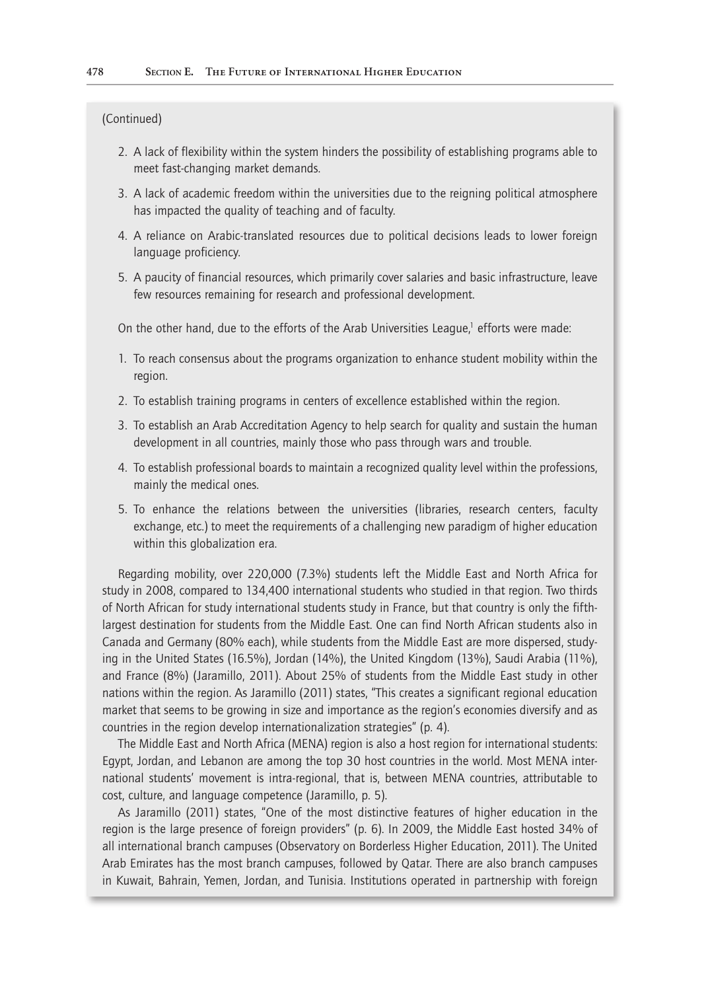- 2. A lack of flexibility within the system hinders the possibility of establishing programs able to meet fast-changing market demands.
- 3. A lack of academic freedom within the universities due to the reigning political atmosphere has impacted the quality of teaching and of faculty.
- 4. A reliance on Arabic-translated resources due to political decisions leads to lower foreign language proficiency.
- 5. A paucity of financial resources, which primarily cover salaries and basic infrastructure, leave few resources remaining for research and professional development.

On the other hand, due to the efforts of the Arab Universities League, $^1$  efforts were made:

- 1. To reach consensus about the programs organization to enhance student mobility within the region.
- 2. To establish training programs in centers of excellence established within the region.
- 3. To establish an Arab Accreditation Agency to help search for quality and sustain the human development in all countries, mainly those who pass through wars and trouble.
- 4. To establish professional boards to maintain a recognized quality level within the professions, mainly the medical ones.
- 5. To enhance the relations between the universities (libraries, research centers, faculty exchange, etc.) to meet the requirements of a challenging new paradigm of higher education within this globalization era.

Regarding mobility, over 220,000 (7.3%) students left the Middle East and North Africa for study in 2008, compared to 134,400 international students who studied in that region. Two thirds of North African for study international students study in France, but that country is only the fifthlargest destination for students from the Middle East. One can find North African students also in Canada and Germany (80% each), while students from the Middle East are more dispersed, studying in the United States (16.5%), Jordan (14%), the United Kingdom (13%), Saudi Arabia (11%), and France (8%) (Jaramillo, 2011). About 25% of students from the Middle East study in other nations within the region. As Jaramillo (2011) states, "This creates a significant regional education market that seems to be growing in size and importance as the region's economies diversify and as countries in the region develop internationalization strategies" (p. 4).

The Middle East and North Africa (MENA) region is also a host region for international students: Egypt, Jordan, and Lebanon are among the top 30 host countries in the world. Most MENA international students' movement is intra-regional, that is, between MENA countries, attributable to cost, culture, and language competence (Jaramillo, p. 5).

As Jaramillo (2011) states, "One of the most distinctive features of higher education in the region is the large presence of foreign providers" (p. 6). In 2009, the Middle East hosted 34% of all international branch campuses (Observatory on Borderless Higher Education, 2011). The United Arab Emirates has the most branch campuses, followed by Qatar. There are also branch campuses in Kuwait, Bahrain, Yemen, Jordan, and Tunisia. Institutions operated in partnership with foreign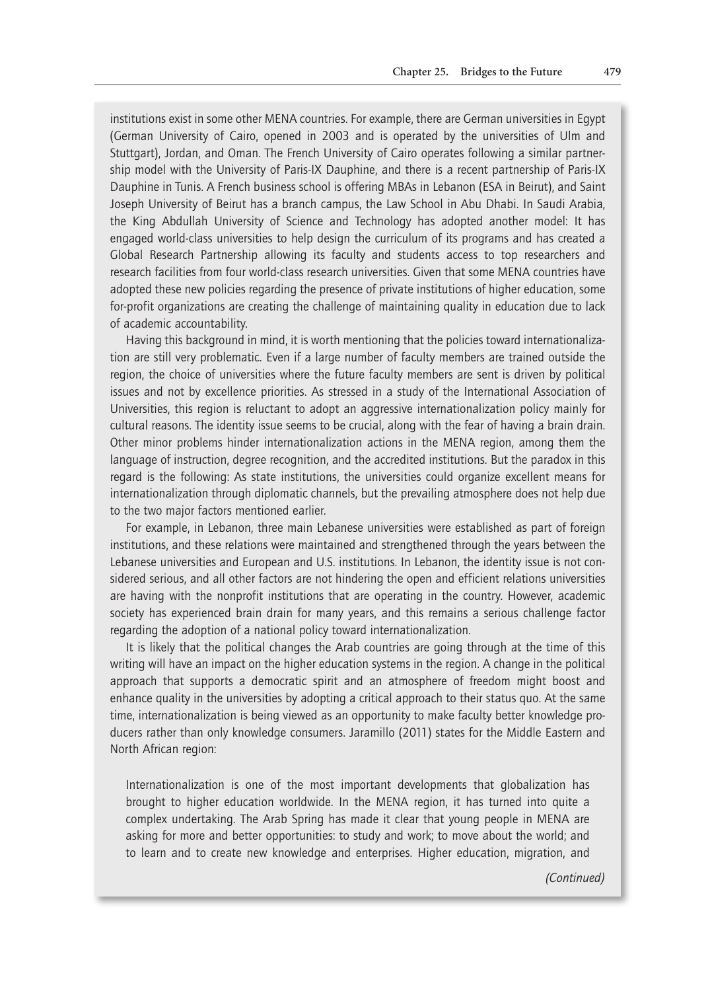institutions exist in some other MENA countries. For example, there are German universities in Egypt (German University of Cairo, opened in 2003 and is operated by the universities of Ulm and Stuttgart), Jordan, and Oman. The French University of Cairo operates following a similar partnership model with the University of Paris-IX Dauphine, and there is a recent partnership of Paris-IX Dauphine in Tunis. A French business school is offering MBAs in Lebanon (ESA in Beirut), and Saint Joseph University of Beirut has a branch campus, the Law School in Abu Dhabi. In Saudi Arabia, the King Abdullah University of Science and Technology has adopted another model: It has engaged world-class universities to help design the curriculum of its programs and has created a Global Research Partnership allowing its faculty and students access to top researchers and research facilities from four world-class research universities. Given that some MENA countries have adopted these new policies regarding the presence of private institutions of higher education, some for-profit organizations are creating the challenge of maintaining quality in education due to lack of academic accountability.

Having this background in mind, it is worth mentioning that the policies toward internationalization are still very problematic. Even if a large number of faculty members are trained outside the region, the choice of universities where the future faculty members are sent is driven by political issues and not by excellence priorities. As stressed in a study of the International Association of Universities, this region is reluctant to adopt an aggressive internationalization policy mainly for cultural reasons. The identity issue seems to be crucial, along with the fear of having a brain drain. Other minor problems hinder internationalization actions in the MENA region, among them the language of instruction, degree recognition, and the accredited institutions. But the paradox in this regard is the following: As state institutions, the universities could organize excellent means for internationalization through diplomatic channels, but the prevailing atmosphere does not help due to the two major factors mentioned earlier.

For example, in Lebanon, three main Lebanese universities were established as part of foreign institutions, and these relations were maintained and strengthened through the years between the Lebanese universities and European and U.S. institutions. In Lebanon, the identity issue is not considered serious, and all other factors are not hindering the open and efficient relations universities are having with the nonprofit institutions that are operating in the country. However, academic society has experienced brain drain for many years, and this remains a serious challenge factor regarding the adoption of a national policy toward internationalization.

It is likely that the political changes the Arab countries are going through at the time of this writing will have an impact on the higher education systems in the region. A change in the political approach that supports a democratic spirit and an atmosphere of freedom might boost and enhance quality in the universities by adopting a critical approach to their status quo. At the same time, internationalization is being viewed as an opportunity to make faculty better knowledge producers rather than only knowledge consumers. Jaramillo (2011) states for the Middle Eastern and North African region:

Internationalization is one of the most important developments that globalization has brought to higher education worldwide. In the MENA region, it has turned into quite a complex undertaking. The Arab Spring has made it clear that young people in MENA are asking for more and better opportunities: to study and work; to move about the world; and to learn and to create new knowledge and enterprises. Higher education, migration, and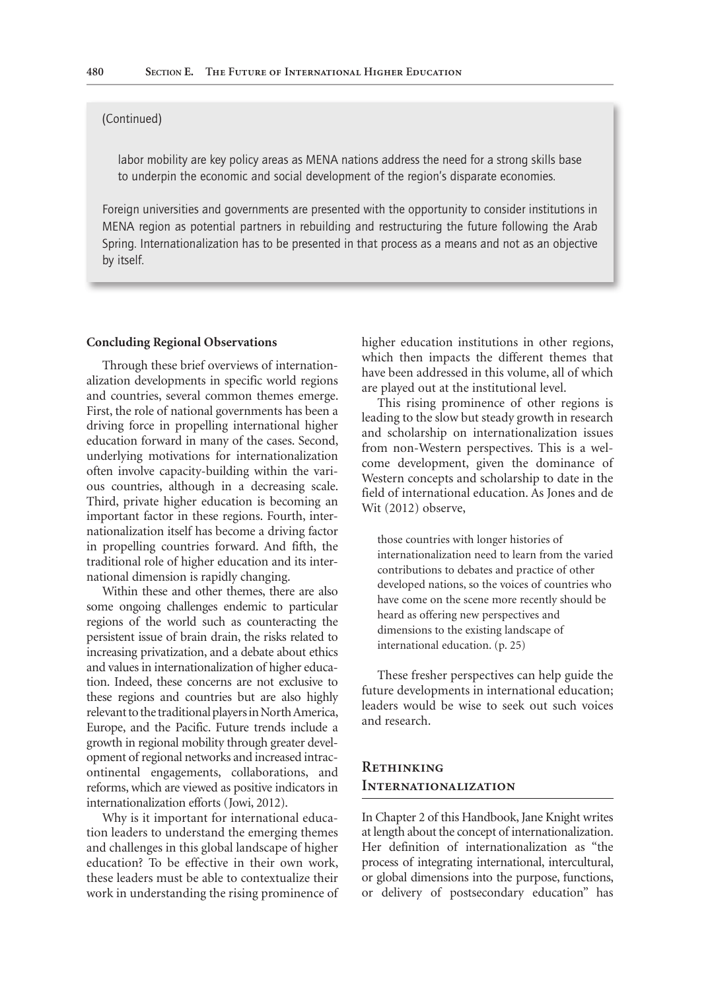labor mobility are key policy areas as MENA nations address the need for a strong skills base to underpin the economic and social development of the region's disparate economies.

Foreign universities and governments are presented with the opportunity to consider institutions in MENA region as potential partners in rebuilding and restructuring the future following the Arab Spring. Internationalization has to be presented in that process as a means and not as an objective by itself.

#### **Concluding Regional Observations**

Through these brief overviews of internationalization developments in specific world regions and countries, several common themes emerge. First, the role of national governments has been a driving force in propelling international higher education forward in many of the cases. Second, underlying motivations for internationalization often involve capacity-building within the various countries, although in a decreasing scale. Third, private higher education is becoming an important factor in these regions. Fourth, internationalization itself has become a driving factor in propelling countries forward. And fifth, the traditional role of higher education and its international dimension is rapidly changing.

Within these and other themes, there are also some ongoing challenges endemic to particular regions of the world such as counteracting the persistent issue of brain drain, the risks related to increasing privatization, and a debate about ethics and values in internationalization of higher education. Indeed, these concerns are not exclusive to these regions and countries but are also highly relevant to the traditional players in North America, Europe, and the Pacific. Future trends include a growth in regional mobility through greater development of regional networks and increased intracontinental engagements, collaborations, and reforms, which are viewed as positive indicators in internationalization efforts (Jowi, 2012).

Why is it important for international education leaders to understand the emerging themes and challenges in this global landscape of higher education? To be effective in their own work, these leaders must be able to contextualize their work in understanding the rising prominence of

higher education institutions in other regions, which then impacts the different themes that have been addressed in this volume, all of which are played out at the institutional level.

This rising prominence of other regions is leading to the slow but steady growth in research and scholarship on internationalization issues from non-Western perspectives. This is a welcome development, given the dominance of Western concepts and scholarship to date in the field of international education. As Jones and de Wit (2012) observe,

those countries with longer histories of internationalization need to learn from the varied contributions to debates and practice of other developed nations, so the voices of countries who have come on the scene more recently should be heard as offering new perspectives and dimensions to the existing landscape of international education. (p. 25)

These fresher perspectives can help guide the future developments in international education; leaders would be wise to seek out such voices and research.

#### **Rethinking Internationalization**

In Chapter 2 of this Handbook, Jane Knight writes at length about the concept of internationalization. Her definition of internationalization as "the process of integrating international, intercultural, or global dimensions into the purpose, functions, or delivery of postsecondary education" has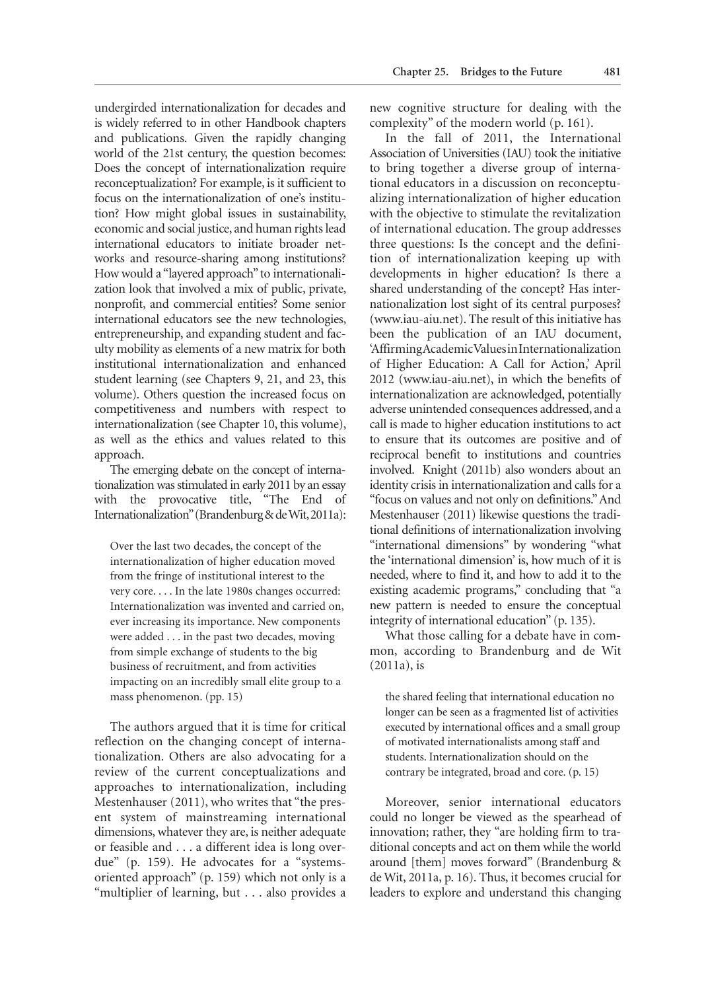undergirded internationalization for decades and is widely referred to in other Handbook chapters and publications. Given the rapidly changing world of the 21st century, the question becomes: Does the concept of internationalization require reconceptualization? For example, is it sufficient to focus on the internationalization of one's institution? How might global issues in sustainability, economic and social justice, and human rights lead international educators to initiate broader networks and resource-sharing among institutions? How would a "layered approach" to internationalization look that involved a mix of public, private, nonprofit, and commercial entities? Some senior international educators see the new technologies, entrepreneurship, and expanding student and faculty mobility as elements of a new matrix for both institutional internationalization and enhanced student learning (see Chapters 9, 21, and 23, this volume). Others question the increased focus on competitiveness and numbers with respect to internationalization (see Chapter 10, this volume), as well as the ethics and values related to this approach.

The emerging debate on the concept of internationalization was stimulated in early 2011 by an essay with the provocative title, "The End of Internationalization" (Brandenburg & de Wit, 2011a):

Over the last two decades, the concept of the internationalization of higher education moved from the fringe of institutional interest to the very core. . . . In the late 1980s changes occurred: Internationalization was invented and carried on, ever increasing its importance. New components were added . . . in the past two decades, moving from simple exchange of students to the big business of recruitment, and from activities impacting on an incredibly small elite group to a mass phenomenon. (pp. 15)

The authors argued that it is time for critical reflection on the changing concept of internationalization. Others are also advocating for a review of the current conceptualizations and approaches to internationalization, including Mestenhauser (2011), who writes that "the present system of mainstreaming international dimensions, whatever they are, is neither adequate or feasible and . . . a different idea is long overdue" (p. 159). He advocates for a "systemsoriented approach" (p. 159) which not only is a "multiplier of learning, but . . . also provides a

new cognitive structure for dealing with the complexity" of the modern world (p. 161).

In the fall of 2011, the International Association of Universities (IAU) took the initiative to bring together a diverse group of international educators in a discussion on reconceptualizing internationalization of higher education with the objective to stimulate the revitalization of international education. The group addresses three questions: Is the concept and the definition of internationalization keeping up with developments in higher education? Is there a shared understanding of the concept? Has internationalization lost sight of its central purposes? (www.iau-aiu.net). The result of this initiative has been the publication of an IAU document, 'Affirming Academic Values in Internationalization of Higher Education: A Call for Action,' April 2012 (www.iau-aiu.net), in which the benefits of internationalization are acknowledged, potentially adverse unintended consequences addressed, and a call is made to higher education institutions to act to ensure that its outcomes are positive and of reciprocal benefit to institutions and countries involved. Knight (2011b) also wonders about an identity crisis in internationalization and calls for a "focus on values and not only on definitions." And Mestenhauser (2011) likewise questions the traditional definitions of internationalization involving "international dimensions" by wondering "what the 'international dimension' is, how much of it is needed, where to find it, and how to add it to the existing academic programs," concluding that "a new pattern is needed to ensure the conceptual integrity of international education" (p. 135).

What those calling for a debate have in common, according to Brandenburg and de Wit (2011a), is

the shared feeling that international education no longer can be seen as a fragmented list of activities executed by international offices and a small group of motivated internationalists among staff and students. Internationalization should on the contrary be integrated, broad and core. (p. 15)

Moreover, senior international educators could no longer be viewed as the spearhead of innovation; rather, they "are holding firm to traditional concepts and act on them while the world around [them] moves forward" (Brandenburg & de Wit, 2011a, p. 16). Thus, it becomes crucial for leaders to explore and understand this changing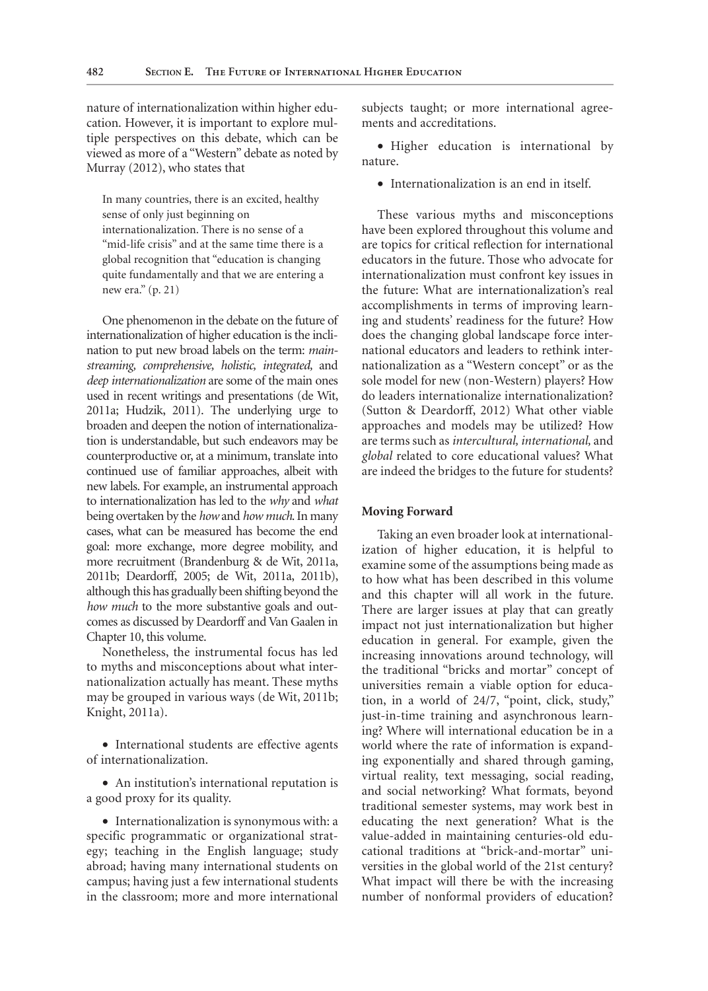nature of internationalization within higher education. However, it is important to explore multiple perspectives on this debate, which can be viewed as more of a "Western" debate as noted by Murray (2012), who states that

In many countries, there is an excited, healthy sense of only just beginning on internationalization. There is no sense of a "mid-life crisis" and at the same time there is a global recognition that "education is changing quite fundamentally and that we are entering a new era." (p. 21)

One phenomenon in the debate on the future of internationalization of higher education is the inclination to put new broad labels on the term: *mainstreaming, comprehensive, holistic, integrated,* and *deep internationalization* are some of the main ones used in recent writings and presentations (de Wit, 2011a; Hudzik, 2011). The underlying urge to broaden and deepen the notion of internationalization is understandable, but such endeavors may be counterproductive or, at a minimum, translate into continued use of familiar approaches, albeit with new labels. For example, an instrumental approach to internationalization has led to the *why* and *what* being overtaken by the *how* and *how much*. In many cases, what can be measured has become the end goal: more exchange, more degree mobility, and more recruitment (Brandenburg & de Wit, 2011a, 2011b; Deardorff, 2005; de Wit, 2011a, 2011b), although this has gradually been shifting beyond the *how much* to the more substantive goals and outcomes as discussed by Deardorff and Van Gaalen in Chapter 10, this volume.

Nonetheless, the instrumental focus has led to myths and misconceptions about what internationalization actually has meant. These myths may be grouped in various ways (de Wit, 2011b; Knight, 2011a).

• International students are effective agents of internationalization.

• An institution's international reputation is a good proxy for its quality.

• Internationalization is synonymous with: a specific programmatic or organizational strategy; teaching in the English language; study abroad; having many international students on campus; having just a few international students in the classroom; more and more international

subjects taught; or more international agreements and accreditations.

• Higher education is international by nature.

• Internationalization is an end in itself.

These various myths and misconceptions have been explored throughout this volume and are topics for critical reflection for international educators in the future. Those who advocate for internationalization must confront key issues in the future: What are internationalization's real accomplishments in terms of improving learning and students' readiness for the future? How does the changing global landscape force international educators and leaders to rethink internationalization as a "Western concept" or as the sole model for new (non-Western) players? How do leaders internationalize internationalization? (Sutton & Deardorff, 2012) What other viable approaches and models may be utilized? How are terms such as *intercultural, international,* and *global* related to core educational values? What are indeed the bridges to the future for students?

#### **Moving Forward**

Taking an even broader look at internationalization of higher education, it is helpful to examine some of the assumptions being made as to how what has been described in this volume and this chapter will all work in the future. There are larger issues at play that can greatly impact not just internationalization but higher education in general. For example, given the increasing innovations around technology, will the traditional "bricks and mortar" concept of universities remain a viable option for education, in a world of 24/7, "point, click, study," just-in-time training and asynchronous learning? Where will international education be in a world where the rate of information is expanding exponentially and shared through gaming, virtual reality, text messaging, social reading, and social networking? What formats, beyond traditional semester systems, may work best in educating the next generation? What is the value-added in maintaining centuries-old educational traditions at "brick-and-mortar" universities in the global world of the 21st century? What impact will there be with the increasing number of nonformal providers of education?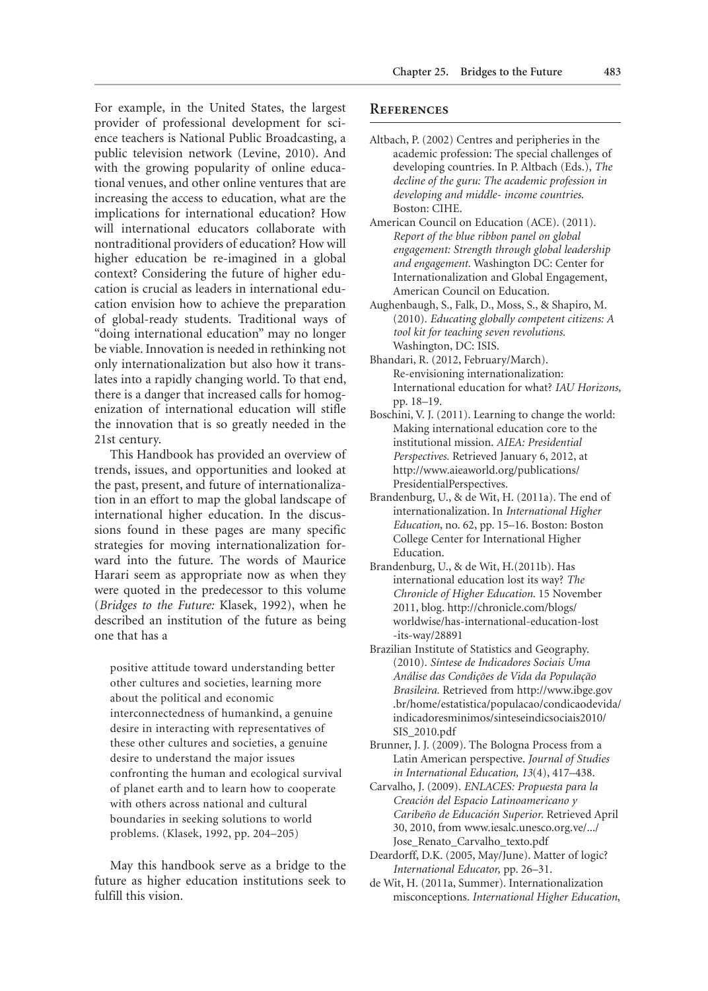For example, in the United States, the largest provider of professional development for science teachers is National Public Broadcasting, a public television network (Levine, 2010). And with the growing popularity of online educational venues, and other online ventures that are increasing the access to education, what are the implications for international education? How will international educators collaborate with nontraditional providers of education? How will higher education be re-imagined in a global context? Considering the future of higher education is crucial as leaders in international education envision how to achieve the preparation of global-ready students. Traditional ways of "doing international education" may no longer be viable. Innovation is needed in rethinking not only internationalization but also how it translates into a rapidly changing world. To that end, there is a danger that increased calls for homogenization of international education will stifle the innovation that is so greatly needed in the 21st century.

This Handbook has provided an overview of trends, issues, and opportunities and looked at the past, present, and future of internationalization in an effort to map the global landscape of international higher education. In the discussions found in these pages are many specific strategies for moving internationalization forward into the future. The words of Maurice Harari seem as appropriate now as when they were quoted in the predecessor to this volume (*Bridges to the Future:* Klasek, 1992), when he described an institution of the future as being one that has a

positive attitude toward understanding better other cultures and societies, learning more about the political and economic interconnectedness of humankind, a genuine desire in interacting with representatives of these other cultures and societies, a genuine desire to understand the major issues confronting the human and ecological survival of planet earth and to learn how to cooperate with others across national and cultural boundaries in seeking solutions to world problems. (Klasek, 1992, pp. 204–205)

May this handbook serve as a bridge to the future as higher education institutions seek to fulfill this vision.

#### **References**

- Altbach, P. (2002) Centres and peripheries in the academic profession: The special challenges of developing countries. In P. Altbach (Eds.), *The decline of the guru: The academic profession in developing and middle- income countries*. Boston: CIHE.
- American Council on Education (ACE). (2011). *Report of the blue ribbon panel on global engagement: Strength through global leadership and engagement.* Washington DC: Center for Internationalization and Global Engagement, American Council on Education.
- Aughenbaugh, S., Falk, D., Moss, S., & Shapiro, M. (2010). *Educating globally competent citizens: A tool kit for teaching seven revolutions.* Washington, DC: ISIS.
- Bhandari, R. (2012, February/March). Re-envisioning internationalization: International education for what? *IAU Horizons,* pp. 18–19.
- Boschini, V. J. (2011). Learning to change the world: Making international education core to the institutional mission. *AIEA: Presidential Perspectives.* Retrieved January 6, 2012, at http://www.aieaworld.org/publications/ PresidentialPerspectives.
- Brandenburg, U., & de Wit, H. (2011a). The end of internationalization. In *International Higher Education*, no. 62, pp. 15–16. Boston: Boston College Center for International Higher Education.
- Brandenburg, U., & de Wit, H.(2011b). Has international education lost its way? *The Chronicle of Higher Education*. 15 November 2011, blog. http://chronicle.com/blogs/ worldwise/has-international-education-lost -its-way/28891
- Brazilian Institute of Statistics and Geography. (2010). *Síntese de Indicadores Sociais Uma Análise das Condições de Vida da População Brasileira.* Retrieved from http://www.ibge.gov .br/home/estatistica/populacao/condicaodevida/ indicadoresminimos/sinteseindicsociais2010/ SIS\_2010.pdf
- Brunner, J. J. (2009). The Bologna Process from a Latin American perspective. *Journal of Studies in International Education, 13*(4), 417–438.
- Carvalho, J. (2009). *ENLACES: Propuesta para la Creación del Espacio Latinoamericano y Caribeño de Educación Superior.* Retrieved April 30, 2010, from www.iesalc.unesco.org.ve/.../ Jose\_Renato\_Carvalho\_texto.pdf
- Deardorff, D.K. (2005, May/June). Matter of logic? *International Educator,* pp. 26–31.
- de Wit, H. (2011a, Summer). Internationalization misconceptions. *International Higher Education*,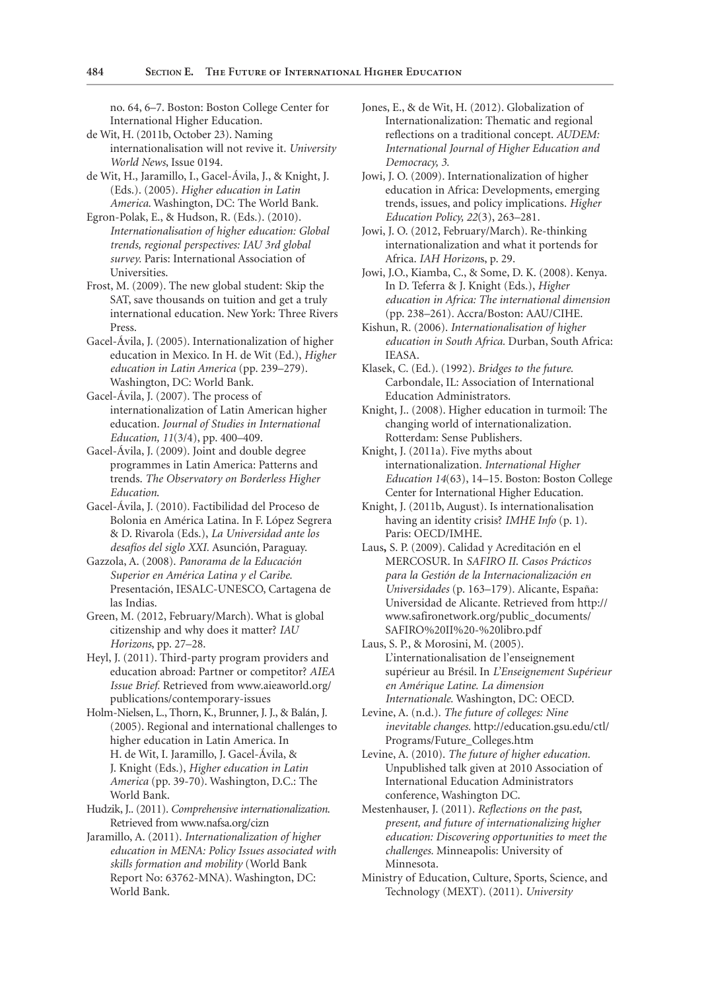no. 64, 6–7. Boston: Boston College Center for International Higher Education.

- de Wit, H. (2011b, October 23). Naming internationalisation will not revive it. *University World News*, Issue 0194.
- de Wit, H., Jaramillo, I., Gacel-Ávila, J., & Knight, J. (Eds.). (2005). *Higher education in Latin America*. Washington, DC: The World Bank.
- Egron-Polak, E., & Hudson, R. (Eds.). (2010). *Internationalisation of higher education: Global trends, regional perspectives: IAU 3rd global survey.* Paris: International Association of Universities.
- Frost, M. (2009). The new global student: Skip the SAT, save thousands on tuition and get a truly international education. New York: Three Rivers Press.
- Gacel-Ávila, J. (2005). Internationalization of higher education in Mexico. In H. de Wit (Ed.), *Higher education in Latin America* (pp. 239–279). Washington, DC: World Bank.
- Gacel-Ávila, J. (2007). The process of internationalization of Latin American higher education. *Journal of Studies in International Education, 11*(3/4), pp. 400–409.
- Gacel-Ávila, J. (2009). Joint and double degree programmes in Latin America: Patterns and trends. *The Observatory on Borderless Higher Education*.
- Gacel-Ávila, J. (2010). Factibilidad del Proceso de Bolonia en América Latina. In F. López Segrera & D. Rivarola (Eds.), *La Universidad ante los desafíos del siglo XXI.* Asunción, Paraguay.
- Gazzola, A. (2008). *Panorama de la Educación Superior en América Latina y el Caribe.* Presentación, IESALC-UNESCO, Cartagena de las Indias.
- Green, M. (2012, February/March). What is global citizenship and why does it matter? *IAU Horizons*, pp. 27–28.
- Heyl, J. (2011). Third-party program providers and education abroad: Partner or competitor? *AIEA Issue Brief.* Retrieved from www.aieaworld.org/ publications/contemporary-issues
- Holm-Nielsen, L., Thorn, K., Brunner, J. J., & Balán, J. (2005). Regional and international challenges to higher education in Latin America. In H. de Wit, I. Jaramillo, J. Gacel-Ávila, & J. Knight (Eds.), *Higher education in Latin America* (pp. 39-70). Washington, D.C.: The World Bank.
- Hudzik, J.. (2011). *Comprehensive internationalization*. Retrieved from www.nafsa.org/cizn
- Jaramillo, A. (2011). *Internationalization of higher education in MENA: Policy Issues associated with skills formation and mobility* (World Bank Report No: 63762-MNA). Washington, DC: World Bank.
- Jones, E., & de Wit, H. (2012). Globalization of Internationalization: Thematic and regional reflections on a traditional concept. *AUDEM: International Journal of Higher Education and Democracy, 3.*
- Jowi, J. O. (2009). Internationalization of higher education in Africa: Developments, emerging trends, issues, and policy implications. *Higher Education Policy, 22*(3), 263–281.
- Jowi, J. O. (2012, February/March). Re-thinking internationalization and what it portends for Africa. *IAH Horizon*s, p. 29.
- Jowi, J.O., Kiamba, C., & Some, D. K. (2008). Kenya. In D. Teferra & J. Knight (Eds.), *Higher education in Africa: The international dimension*  (pp. 238–261)*.* Accra/Boston: AAU/CIHE.
- Kishun, R. (2006). *Internationalisation of higher education in South Africa.* Durban, South Africa: IEASA.
- Klasek, C. (Ed.). (1992). *Bridges to the future.* Carbondale, IL: Association of International Education Administrators.
- Knight, J.. (2008). Higher education in turmoil: The changing world of internationalization. Rotterdam: Sense Publishers.
- Knight, J. (2011a). Five myths about internationalization. *International Higher Education 14*(63), 14–15. Boston: Boston College Center for International Higher Education.
- Knight, J. (2011b, August). Is internationalisation having an identity crisis? *IMHE Info* (p. 1). Paris: OECD/IMHE.
- Laus**,** S. P. (2009). Calidad y Acreditación en el MERCOSUR. In *SAFIRO II*. *Casos Prácticos para la Gestión de la Internacionalización en Universidades* (p. 163–179)*.* Alicante, España: Universidad de Alicante. Retrieved from http:// www.safironetwork.org/public\_documents/ SAFIRO%20II%20-%20libro.pdf
- Laus, S. P., & Morosini, M. (2005). L'internationalisation de l'enseignement supérieur au Brésil. In *L'Enseignement Supérieur en Amérique Latine. La dimension Internationale.* Washington, DC: OECD.
- Levine, A. (n.d.). *The future of colleges: Nine inevitable changes.* http://education.gsu.edu/ctl/ Programs/Future\_Colleges.htm
- Levine, A. (2010). *The future of higher education.*  Unpublished talk given at 2010 Association of International Education Administrators conference, Washington DC.
- Mestenhauser, J. (2011). *Reflections on the past, present, and future of internationalizing higher education: Discovering opportunities to meet the challenges.* Minneapolis: University of Minnesota.
- Ministry of Education, Culture, Sports, Science, and Technology (MEXT). (2011). *University*